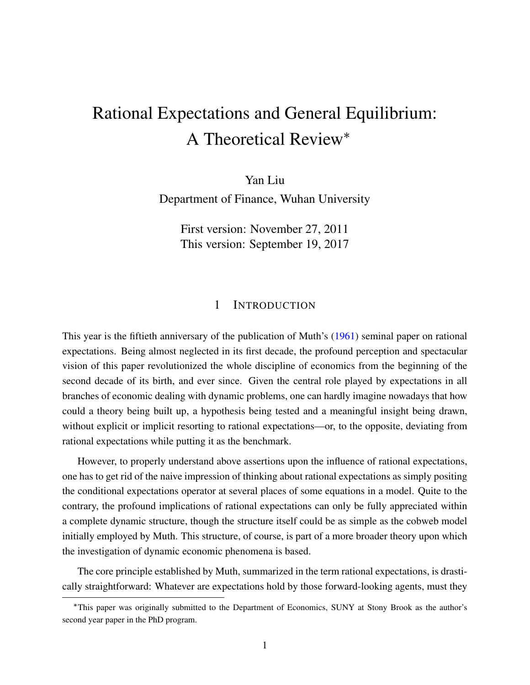# <span id="page-0-0"></span>Rational Expectations and General Equilibrium: A Theoretical Review

Yan Liu

Department of Finance, Wuhan University

First version: November 27, 2011 This version: September 19, 2017

# 1 INTRODUCTION

This year is the fiftieth anniversary of the publication of Muth's ([1961](#page-30-0)) seminal paper on rational expectations. Being almost neglected in its first decade, the profound perception and spectacular vision of this paper revolutionized the whole discipline of economics from the beginning of the second decade of its birth, and ever since. Given the central role played by expectations in all branches of economic dealing with dynamic problems, one can hardly imagine nowadays that how could a theory being built up, a hypothesis being tested and a meaningful insight being drawn, without explicit or implicit resorting to rational expectations—or, to the opposite, deviating from rational expectations while putting it as the benchmark.

However, to properly understand above assertions upon the influence of rational expectations, one has to get rid of the naive impression of thinking about rational expectations as simply positing the conditional expectations operator at several places of some equations in a model. Quite to the contrary, the profound implications of rational expectations can only be fully appreciated within a complete dynamic structure, though the structure itself could be as simple as the cobweb model initially employed by Muth. This structure, of course, is part of a more broader theory upon which the investigation of dynamic economic phenomena is based.

The core principle established by Muth, summarized in the term rational expectations, is drastically straightforward: Whatever are expectations hold by those forward-looking agents, must they

This paper was originally submitted to the Department of Economics, SUNY at Stony Brook as the author's second year paper in the PhD program.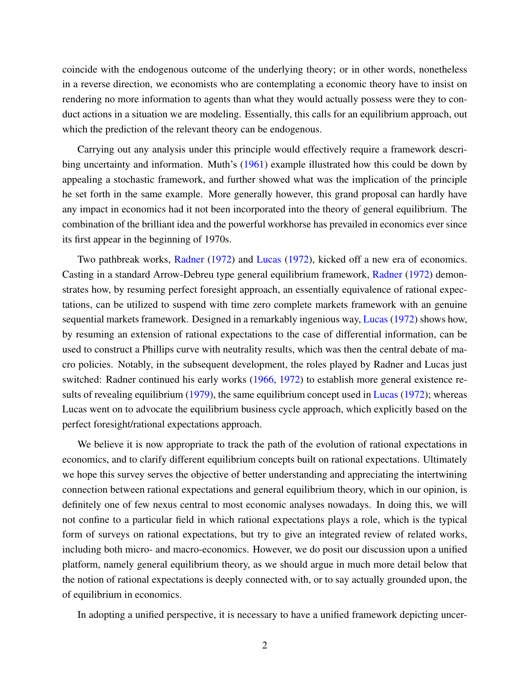<span id="page-1-0"></span>coincide with the endogenous outcome of the underlying theory; or in other words, nonetheless in a reverse direction, we economists who are contemplating a economic theory have to insist on rendering no more information to agents than what they would actually possess were they to conduct actions in a situation we are modeling. Essentially, this calls for an equilibrium approach, out which the prediction of the relevant theory can be endogenous.

Carrying out any analysis under this principle would effectively require a framework describing uncertainty and information. Muth's ([1961](#page-30-0)) example illustrated how this could be down by appealing a stochastic framework, and further showed what was the implication of the principle he set forth in the same example. More generally however, this grand proposal can hardly have any impact in economics had it not been incorporated into the theory of general equilibrium. The combination of the brilliant idea and the powerful workhorse has prevailed in economics ever since its first appear in the beginning of 1970s.

Two pathbreak works, [Radner](#page-30-1) ([1972\)](#page-30-1) and [Lucas](#page-29-0) ([1972\)](#page-29-0), kicked off a new era of economics. Casting in a standard Arrow-Debreu type general equilibrium framework, [Radner](#page-30-1) [\(1972](#page-30-1)) demonstrates how, by resuming perfect foresight approach, an essentially equivalence of rational expectations, can be utilized to suspend with time zero complete markets framework with an genuine sequential markets framework. Designed in a remarkably ingenious way, [Lucas](#page-29-0) ([1972\)](#page-29-0) shows how, by resuming an extension of rational expectations to the case of differential information, can be used to construct a Phillips curve with neutrality results, which was then the central debate of macro policies. Notably, in the subsequent development, the roles played by Radner and Lucas just switched: Radner continued his early works [\(1966](#page-30-2), [1972\)](#page-30-1) to establish more general existence results of revealing equilibrium [\(1979](#page-30-3)), the same equilibrium concept used in [Lucas](#page-29-0) ([1972\)](#page-29-0); whereas Lucas went on to advocate the equilibrium business cycle approach, which explicitly based on the perfect foresight/rational expectations approach.

We believe it is now appropriate to track the path of the evolution of rational expectations in economics, and to clarify different equilibrium concepts built on rational expectations. Ultimately we hope this survey serves the objective of better understanding and appreciating the intertwining connection between rational expectations and general equilibrium theory, which in our opinion, is definitely one of few nexus central to most economic analyses nowadays. In doing this, we will not confine to a particular field in which rational expectations plays a role, which is the typical form of surveys on rational expectations, but try to give an integrated review of related works, including both micro- and macro-economics. However, we do posit our discussion upon a unified platform, namely general equilibrium theory, as we should argue in much more detail below that the notion of rational expectations is deeply connected with, or to say actually grounded upon, the of equilibrium in economics.

In adopting a unified perspective, it is necessary to have a unified framework depicting uncer-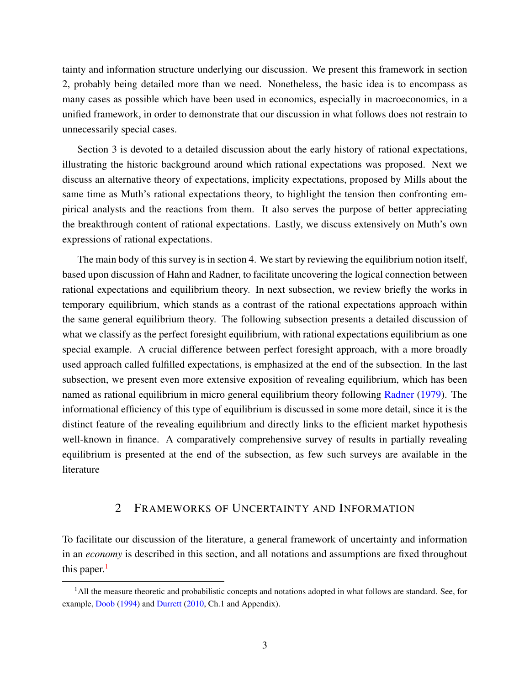<span id="page-2-1"></span>tainty and information structure underlying our discussion. We present this framework in section 2, probably being detailed more than we need. Nonetheless, the basic idea is to encompass as many cases as possible which have been used in economics, especially in macroeconomics, in a unified framework, in order to demonstrate that our discussion in what follows does not restrain to unnecessarily special cases.

Section 3 is devoted to a detailed discussion about the early history of rational expectations, illustrating the historic background around which rational expectations was proposed. Next we discuss an alternative theory of expectations, implicity expectations, proposed by Mills about the same time as Muth's rational expectations theory, to highlight the tension then confronting empirical analysts and the reactions from them. It also serves the purpose of better appreciating the breakthrough content of rational expectations. Lastly, we discuss extensively on Muth's own expressions of rational expectations.

The main body of this survey is in section 4. We start by reviewing the equilibrium notion itself, based upon discussion of Hahn and Radner, to facilitate uncovering the logical connection between rational expectations and equilibrium theory. In next subsection, we review briefly the works in temporary equilibrium, which stands as a contrast of the rational expectations approach within the same general equilibrium theory. The following subsection presents a detailed discussion of what we classify as the perfect foresight equilibrium, with rational expectations equilibrium as one special example. A crucial difference between perfect foresight approach, with a more broadly used approach called fulfilled expectations, is emphasized at the end of the subsection. In the last subsection, we present even more extensive exposition of revealing equilibrium, which has been named as rational equilibrium in micro general equilibrium theory following [Radner](#page-30-3) ([1979\)](#page-30-3). The informational efficiency of this type of equilibrium is discussed in some more detail, since it is the distinct feature of the revealing equilibrium and directly links to the efficient market hypothesis well-known in finance. A comparatively comprehensive survey of results in partially revealing equilibrium is presented at the end of the subsection, as few such surveys are available in the literature

# 2 FRAMEWORKS OF UNCERTAINTY AND INFORMATION

To facilitate our discussion of the literature, a general framework of uncertainty and information in an *economy* is described in this section, and all notations and assumptions are fixed throughout this paper. $<sup>1</sup>$  $<sup>1</sup>$  $<sup>1</sup>$ </sup>

<span id="page-2-0"></span> $<sup>1</sup>$ All the measure theoretic and probabilistic concepts and notations adopted in what follows are standard. See, for</sup> example, [Doob](#page-27-0) ([1994](#page-27-0)) and [Durrett](#page-28-0) ([2010,](#page-28-0) Ch.1 and Appendix).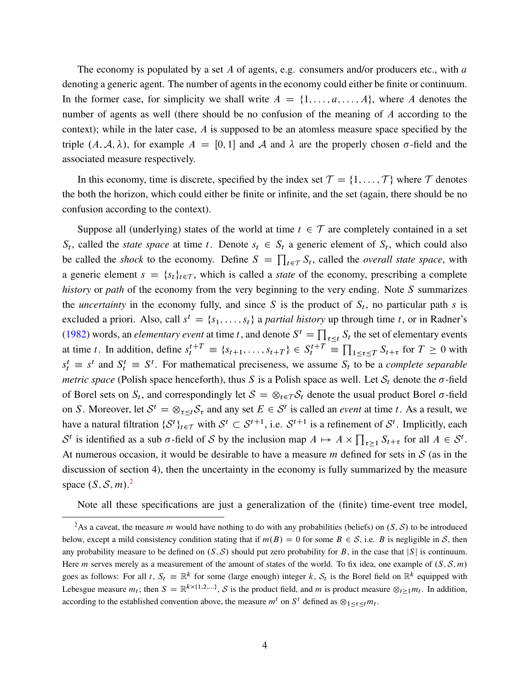<span id="page-3-1"></span>The economy is populated by a set A of agents, e.g. consumers and/or producers etc., with a denoting a generic agent. The number of agents in the economy could either be finite or continuum. In the former case, for simplicity we shall write  $A = \{1, \ldots, a, \ldots, A\}$ , where A denotes the number of agents as well (there should be no confusion of the meaning of A according to the context); while in the later case, A is supposed to be an atomless measure space specified by the triple  $(A, \mathcal{A}, \lambda)$ , for example  $A = [0, 1]$  and  $\mathcal{A}$  and  $\lambda$  are the properly chosen  $\sigma$ -field and the associated measure respectively.

In this economy, time is discrete, specified by the index set  $\mathcal{T} = \{1, \ldots, \mathcal{T}\}\$  where  $\mathcal{T}$  denotes the both the horizon, which could either be finite or infinite, and the set (again, there should be no confusion according to the context).

Suppose all (underlying) states of the world at time  $t \in \mathcal{T}$  are completely contained in a set  $S_t$ , called the *state space* at time t. Denote  $s_t \in S_t$  a generic element of  $S_t$ , which could also be called the *shock* to the economy. Define  $S = \prod_{t \in \mathcal{T}} S_t$ , called the *overall state space*, with a generic element  $s = \{s_t\}_{t \in \mathcal{T}}$ , which is called a *state* of the economy, prescribing a complete *history* or *path* of the economy from the very beginning to the very ending. Note S summarizes the *uncertainty* in the economy fully, and since S is the product of  $S_t$ , no particular path s is excluded a priori. Also, call  $s^t = \{s_1, \ldots, s_t\}$  a *partial history* up through time t, or in Radner's ([1982\)](#page-30-4) words, an *elementary event* at time t, and denote  $S^t = \prod_{\tau \leq t} S_t$  the set of elementary events at time t. In addition, define  $s_t^{t+T} \equiv \{s_{t+1}, \ldots, s_{t+T}\} \in S_t^{t+T} \equiv$  $\prod_{1 \leq \tau \leq T} S_{t+\tau}$  for  $T \geq 0$  with  $s_t^t \equiv s^t$  and  $S_t^t \equiv S^t$ . For mathematical preciseness, we assume  $S_t$  to be a *complete separable metric space* (Polish space henceforth), thus S is a Polish space as well. Let  $S_t$  denote the  $\sigma$ -field of Borel sets on  $S_t$ , and correspondingly let  $S = \otimes_{t \in \mathcal{T}} S_t$  denote the usual product Borel  $\sigma$ -field on S. Moreover, let  $S^t = \otimes_{\tau \leq t} S_\tau$  and any set  $E \in S^t$  is called an *event* at time t. As a result, we have a natural filtration  $\{S^t\}_{t \in \mathcal{T}}$  with  $S^t \subset S^{t+1}$ , i.e.  $S^{t+1}$  is a refinement of  $S^t$ . Implicitly, each S<sup>t</sup> is identified as a sub  $\sigma$ -field of S by the inclusion map  $A \mapsto A \times \prod_{\tau \geq 1} S_{t+\tau}$  for all  $A \in S^t$ . At numerous occasion, it would be desirable to have a measure m defined for sets in *S* (as in the discussion of section 4), then the uncertainty in the economy is fully summarized by the measure space  $(S, S, m)$ .<sup>[2](#page-3-0)</sup>

Note all these specifications are just a generalization of the (finite) time-event tree model,

<span id="page-3-0"></span><sup>&</sup>lt;sup>2</sup>As a caveat, the measure *m* would have nothing to do with any probabilities (beliefs) on  $(S, S)$  to be introduced below, except a mild consistency condition stating that if  $m(B) = 0$  for some  $B \in S$ , i.e. B is negligible in *S*, then any probability measure to be defined on  $(S, S)$  should put zero probability for B, in the case that  $|S|$  is continuum. Here *m* serves merely as a measurement of the amount of states of the world. To fix idea, one example of  $(S, \mathcal{S}, m)$ goes as follows: For all t,  $S_t \equiv \mathbb{R}^k$  for some (large enough) integer k,  $S_t$  is the Borel field on  $\mathbb{R}^k$  equipped with Lebesgue measure  $m_t$ ; then  $S = \mathbb{R}^{k \times \{1,2,\ldots\}}$ , *S* is the product field, and *m* is product measure  $\otimes_{t \ge 1} m_t$ . In addition, according to the established convention above, the measure  $m^t$  on  $S^t$  defined as  $\otimes_{1 \leq \tau \leq t} m_t$ .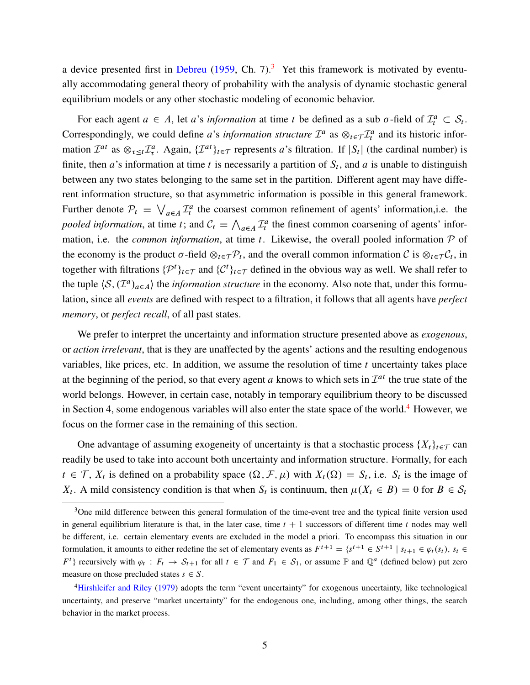<span id="page-4-2"></span>a device presented first in [Debreu](#page-27-1) [\(1959](#page-27-1), Ch. 7).<sup>[3](#page-4-0)</sup> Yet this framework is motivated by eventually accommodating general theory of probability with the analysis of dynamic stochastic general equilibrium models or any other stochastic modeling of economic behavior.

For each agent  $a \in A$ , let a's *information* at time t be defined as a sub  $\sigma$ -field of  $\mathcal{I}_t^a \subset \mathcal{S}_t$ . Correspondingly, we could define *a*'s *information structure*  $\mathcal{I}^a$  as  $\otimes_{t \in \mathcal{T}} \mathcal{I}^a_t$  and its historic information  $\mathcal{I}^{at}$  as  $\otimes_{\tau \leq t} \mathcal{I}^{a}_{\tau}$ . Again,  $\{\mathcal{I}^{at}\}_{t \in \mathcal{T}}$  represents a's filtration. If  $|S_t|$  (the cardinal number) is finite, then *a*'s information at time *t* is necessarily a partition of  $S_t$ , and *a* is unable to distinguish between any two states belonging to the same set in the partition. Different agent may have different information structure, so that asymmetric information is possible in this general framework. Further denote  $P_t \equiv \bigvee$  $a \in A$   $\mathcal{I}_t^a$  the coarsest common refinement of agents' information, i.e. the *pooled information*, at time *t*; and  $C_t \equiv \bigwedge$  $_{a \in A}$   $\mathcal{I}_t^a$  the finest common coarsening of agents' information, i.e. the *common information*, at time t. Likewise, the overall pooled information  $P$  of the economy is the product  $\sigma$ -field  $\otimes_{t \in \mathcal{T}} P_t$ , and the overall common information *C* is  $\otimes_{t \in \mathcal{T}} C_t$ , in together with filtrations  $\{\mathcal{P}^t\}_{t \in \mathcal{T}}$  and  $\{\mathcal{C}^t\}_{t \in \mathcal{T}}$  defined in the obvious way as well. We shall refer to the tuple  $\langle S, (\mathcal{I}^a)_{a \in A} \rangle$  the *information structure* in the economy. Also note that, under this formulation, since all *events* are defined with respect to a filtration, it follows that all agents have *perfect memory*, or *perfect recall*, of all past states.

We prefer to interpret the uncertainty and information structure presented above as *exogenous*, or *action irrelevant*, that is they are unaffected by the agents' actions and the resulting endogenous variables, like prices, etc. In addition, we assume the resolution of time  $t$  uncertainty takes place at the beginning of the period, so that every agent  $a$  knows to which sets in  $\mathcal{I}^{at}$  the true state of the world belongs. However, in certain case, notably in temporary equilibrium theory to be discussed in Section [4](#page-4-1), some endogenous variables will also enter the state space of the world.<sup>4</sup> However, we focus on the former case in the remaining of this section.

One advantage of assuming exogeneity of uncertainty is that a stochastic process  $\{X_t\}_{t\in\mathcal{T}}$  can readily be used to take into account both uncertainty and information structure. Formally, for each  $t \in \mathcal{T}$ ,  $X_t$  is defined on a probability space  $(\Omega, \mathcal{F}, \mu)$  with  $X_t(\Omega) = S_t$ , i.e.  $S_t$  is the image of  $X_t$ . A mild consistency condition is that when  $S_t$  is continuum, then  $\mu(X_t \in B) = 0$  for  $B \in S_t$ 

<span id="page-4-0"></span><sup>&</sup>lt;sup>3</sup>One mild difference between this general formulation of the time-event tree and the typical finite version used in general equilibrium literature is that, in the later case, time  $t + 1$  successors of different time t nodes may well be different, i.e. certain elementary events are excluded in the model a priori. To encompass this situation in our formulation, it amounts to either redefine the set of elementary events as  $F^{t+1} = \{s^{t+1} \in S^{t+1} | s_{t+1} \in \varphi_t(s_t), s_t \in S^t\}$  $F^t$  recursively with  $\varphi_t : F_t \to S_{t+1}$  for all  $t \in \mathcal{T}$  and  $F_1 \in S_1$ , or assume  $\mathbb P$  and  $\mathbb Q^a$  (defined below) put zero measure on those precluded states  $s \in S$ .

<span id="page-4-1"></span><sup>4</sup>[Hirshleifer and Riley](#page-29-1) [\(1979](#page-29-1)) adopts the term "event uncertainty" for exogenous uncertainty, like technological uncertainty, and preserve "market uncertainty" for the endogenous one, including, among other things, the search behavior in the market process.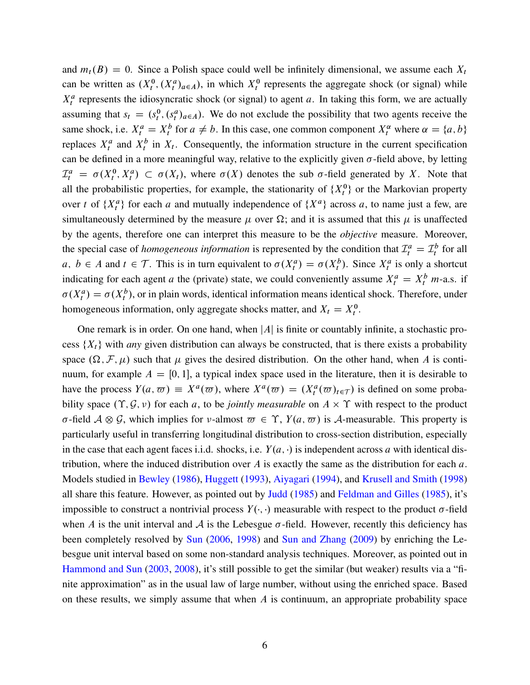<span id="page-5-0"></span>and  $m_t(B) = 0$ . Since a Polish space could well be infinitely dimensional, we assume each  $X_t$ can be written as  $(X_t^0, (X_t^a)_{a \in A})$ , in which  $X_t^0$  represents the aggregate shock (or signal) while  $X_t^a$  represents the idiosyncratic shock (or signal) to agent a. In taking this form, we are actually assuming that  $s_t = (s_t^0, (s_t^a)_{a \in A})$ . We do not exclude the possibility that two agents receive the same shock, i.e.  $X_t^a = X_t^b$  for  $a \neq b$ . In this case, one common component  $X_t^{\alpha}$  where  $\alpha = \{a, b\}$ replaces  $X_t^a$  and  $X_t^b$  in  $X_t$ . Consequently, the information structure in the current specification can be defined in a more meaningful way, relative to the explicitly given  $\sigma$ -field above, by letting  $\mathcal{I}_t^a = \sigma(X_t^0, X_t^a) \subset \sigma(X_t)$ , where  $\sigma(X)$  denotes the sub  $\sigma$ -field generated by X. Note that all the probabilistic properties, for example, the stationarity of  $\{X_t^0\}$  or the Markovian property over t of  $\{X_t^a\}$  for each a and mutually independence of  $\{X^a\}$  across a, to name just a few, are simultaneously determined by the measure  $\mu$  over  $\Omega$ ; and it is assumed that this  $\mu$  is unaffected by the agents, therefore one can interpret this measure to be the *objective* measure. Moreover, the special case of *homogeneous information* is represented by the condition that  $\mathcal{I}_t^a = \mathcal{I}_t^b$  for all  $a, b \in A$  and  $t \in \mathcal{T}$ . This is in turn equivalent to  $\sigma(X_t^a) = \sigma(X_t^b)$ . Since  $X_t^a$  is only a shortcut indicating for each agent a the (private) state, we could conveniently assume  $X_t^a = X_t^b$  m-a.s. if  $\sigma(X_t^a) = \sigma(X_t^b)$ , or in plain words, identical information means identical shock. Therefore, under homogeneous information, only aggregate shocks matter, and  $X_t = X_t^0$ .

One remark is in order. On one hand, when  $|A|$  is finite or countably infinite, a stochastic process  $\{X_t\}$  with *any* given distribution can always be constructed, that is there exists a probability space  $(\Omega, \mathcal{F}, \mu)$  such that  $\mu$  gives the desired distribution. On the other hand, when A is continuum, for example  $A = [0, 1]$ , a typical index space used in the literature, then it is desirable to have the process  $Y(a, \varpi) \equiv X^a(\varpi)$ , where  $X^a(\varpi) = (X^a_t(\varpi)_{t \in \tau})$  is defined on some probability space  $(\Upsilon, \mathcal{G}, \nu)$  for each a, to be *jointly measurable* on  $A \times \Upsilon$  with respect to the product  $\sigma$ -field  $A \otimes \mathcal{G}$ , which implies for v-almost  $\overline{\omega} \in \Upsilon$ ,  $Y(a, \overline{\omega})$  is A-measurable. This property is particularly useful in transferring longitudinal distribution to cross-section distribution, especially in the case that each agent faces i.i.d. shocks, i.e.  $Y(a, \cdot)$  is independent across a with identical distribution, where the induced distribution over A is exactly the same as the distribution for each  $a$ . Models studied in [Bewley](#page-27-2) [\(1986](#page-27-2)), [Huggett](#page-29-2) [\(1993](#page-29-2)), [Aiyagari](#page-26-0) ([1994\)](#page-26-0), and [Krusell and Smith](#page-29-3) [\(1998](#page-29-3)) all share this feature. However, as pointed out by [Judd](#page-29-4) [\(1985](#page-29-4)) and [Feldman and Gilles](#page-28-1) [\(1985](#page-28-1)), it's impossible to construct a nontrivial process  $Y(\cdot, \cdot)$  measurable with respect to the product  $\sigma$ -field when A is the unit interval and A is the Lebesgue  $\sigma$ -field. However, recently this deficiency has been completely resolved by [Sun](#page-31-0) [\(2006](#page-31-0), [1998\)](#page-31-1) and [Sun and Zhang](#page-31-2) [\(2009](#page-31-2)) by enriching the Lebesgue unit interval based on some non-standard analysis techniques. Moreover, as pointed out in [Hammond and Sun](#page-28-2) [\(2003](#page-28-2), [2008](#page-28-3)), it's still possible to get the similar (but weaker) results via a "finite approximation" as in the usual law of large number, without using the enriched space. Based on these results, we simply assume that when  $A$  is continuum, an appropriate probability space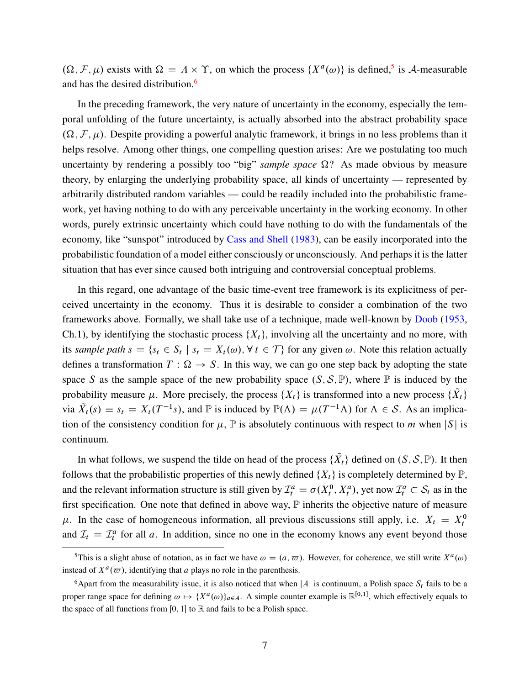<span id="page-6-2"></span> $(\Omega, \mathcal{F}, \mu)$  exists with  $\Omega = A \times \Upsilon$ , on which the process  $\{X^a(\omega)\}\$ is defined,<sup>[5](#page-6-0)</sup> is *A*-measurable and has the desired distribution.<sup>[6](#page-6-1)</sup>

In the preceding framework, the very nature of uncertainty in the economy, especially the temporal unfolding of the future uncertainty, is actually absorbed into the abstract probability space  $(\Omega, \mathcal{F}, \mu)$ . Despite providing a powerful analytic framework, it brings in no less problems than it helps resolve. Among other things, one compelling question arises: Are we postulating too much uncertainty by rendering a possibly too "big" *sample space*  $\Omega$ ? As made obvious by measure theory, by enlarging the underlying probability space, all kinds of uncertainty — represented by arbitrarily distributed random variables — could be readily included into the probabilistic framework, yet having nothing to do with any perceivable uncertainty in the working economy. In other words, purely extrinsic uncertainty which could have nothing to do with the fundamentals of the economy, like "sunspot" introduced by [Cass and Shell](#page-27-3) [\(1983](#page-27-3)), can be easily incorporated into the probabilistic foundation of a model either consciously or unconsciously. And perhaps it is the latter situation that has ever since caused both intriguing and controversial conceptual problems.

In this regard, one advantage of the basic time-event tree framework is its explicitness of perceived uncertainty in the economy. Thus it is desirable to consider a combination of the two frameworks above. Formally, we shall take use of a technique, made well-known by [Doob](#page-27-4) [\(1953](#page-27-4), Ch.1), by identifying the stochastic process  $\{X_t\}$ , involving all the uncertainty and no more, with its *sample path*  $s = \{s_t \in S_t \mid s_t = X_t(\omega), \forall t \in \mathcal{T}\}\$  for any given  $\omega$ . Note this relation actually defines a transformation  $T : \Omega \to S$ . In this way, we can go one step back by adopting the state space S as the sample space of the new probability space  $(S, \mathcal{S}, \mathbb{P})$ , where  $\mathbb P$  is induced by the probability measure  $\mu$ . More precisely, the process  $\{X_t\}$  is transformed into a new process  $\{X_t\}$ via  $\tilde{X}_t(s) \equiv s_t = X_t(T^{-1}s)$ , and  $\mathbb P$  is induced by  $\mathbb P(\Lambda) = \mu(T^{-1}\Lambda)$  for  $\Lambda \in S$ . As an implication of the consistency condition for  $\mu$ ,  $\mathbb P$  is absolutely continuous with respect to m when  $|S|$  is continuum.

In what follows, we suspend the tilde on head of the process  $\{X_t\}$  defined on  $(S, \mathcal{S}, \mathbb{P})$ . It then follows that the probabilistic properties of this newly defined  $\{X_t\}$  is completely determined by  $\mathbb{P}$ , and the relevant information structure is still given by  $\mathcal{I}_t^a = \sigma(X_t^0, X_t^a)$ , yet now  $\mathcal{I}_t^a \subset \mathcal{S}_t$  as in the first specification. One note that defined in above way,  $\mathbb P$  inherits the objective nature of measure  $\mu$ . In the case of homogeneous information, all previous discussions still apply, i.e.  $X_t = X_t^0$ and  $\mathcal{I}_t = \mathcal{I}_t^a$  for all a. In addition, since no one in the economy knows any event beyond those

<span id="page-6-0"></span><sup>&</sup>lt;sup>5</sup>This is a slight abuse of notation, as in fact we have  $\omega = (a, \varpi)$ . However, for coherence, we still write  $X^a(\omega)$ instead of  $X^a(\omega)$ , identifying that a plays no role in the parenthesis.

<span id="page-6-1"></span><sup>&</sup>lt;sup>6</sup>Apart from the measurability issue, it is also noticed that when |A| is continuum, a Polish space  $S_t$  fails to be a proper range space for defining  $\omega \mapsto \{X^a(\omega)\}_{a \in A}$ . A simple counter example is  $\mathbb{R}^{[0,1]}$ , which effectively equals to the space of all functions from [0, 1] to  $\mathbb R$  and fails to be a Polish space.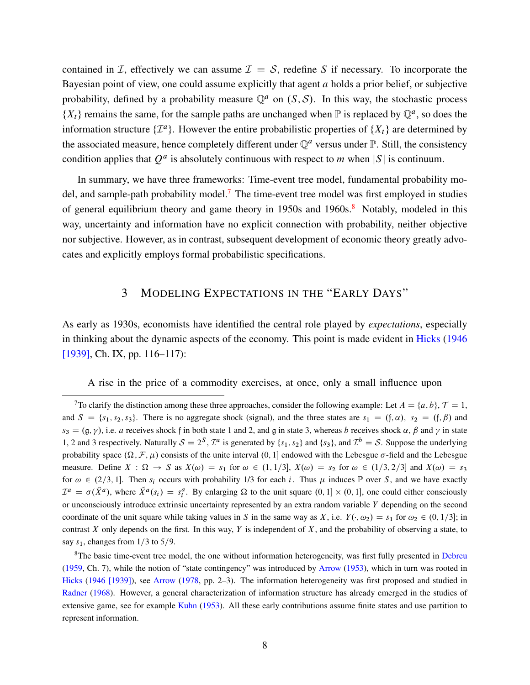<span id="page-7-2"></span>contained in *I*, effectively we can assume  $I = S$ , redefine S if necessary. To incorporate the Bayesian point of view, one could assume explicitly that agent  $a$  holds a prior belief, or subjective probability, defined by a probability measure  $\mathbb{Q}^a$  on  $(S, S)$ . In this way, the stochastic process  $\{X_t\}$  remains the same, for the sample paths are unchanged when  $\mathbb P$  is replaced by  $\mathbb Q^a$ , so does the information structure  $\{\mathcal{I}^a\}$ . However the entire probabilistic properties of  $\{X_t\}$  are determined by the associated measure, hence completely different under  $\mathbb{Q}^a$  versus under  $\mathbb{P}$ . Still, the consistency condition applies that  $Q^a$  is absolutely continuous with respect to m when  $|S|$  is continuum.

In summary, we have three frameworks: Time-event tree model, fundamental probability mo-del, and sample-path probability model.<sup>[7](#page-7-0)</sup> The time-event tree model was first employed in studies of general equilibrium theory and game theory in  $1950s$  and  $1960s$ .<sup>[8](#page-7-1)</sup> Notably, modeled in this way, uncertainty and information have no explicit connection with probability, neither objective nor subjective. However, as in contrast, subsequent development of economic theory greatly advocates and explicitly employs formal probabilistic specifications.

# 3 MODELING EXPECTATIONS IN THE "EARLY DAYS"

As early as 1930s, economists have identified the central role played by *expectations*, especially in thinking about the dynamic aspects of the economy. This point is made evident in [Hicks](#page-29-5) [\(1946](#page-29-5) [\[1939\],](#page-29-5) Ch. IX, pp. 116–117):

A rise in the price of a commodity exercises, at once, only a small influence upon

<span id="page-7-0"></span><sup>&</sup>lt;sup>7</sup>To clarify the distinction among these three approaches, consider the following example: Let  $A = \{a, b\}$ ,  $\mathcal{T} = 1$ , and  $S = \{s_1, s_2, s_3\}$ . There is no aggregate shock (signal), and the three states are  $s_1 = (f, \alpha)$ ,  $s_2 = (f, \beta)$  and  $s_3 = (\mathfrak{g}, \gamma)$ , i.e. a receives shock f in both state 1 and 2, and g in state 3, whereas b receives shock  $\alpha$ ,  $\beta$  and  $\gamma$  in state 1, 2 and 3 respectively. Naturally  $S = 2^S$ ,  $\mathcal{I}^a$  is generated by  $\{s_1, s_2\}$  and  $\{s_3\}$ , and  $\mathcal{I}^b = S$ . Suppose the underlying probability space  $(\Omega, \mathcal{F}, \mu)$  consists of the unite interval  $(0, 1]$  endowed with the Lebesgue  $\sigma$ -field and the Lebesgue measure. Define  $X : \Omega \to S$  as  $X(\omega) = s_1$  for  $\omega \in (1, 1/3], X(\omega) = s_2$  for  $\omega \in (1/3, 2/3]$  and  $X(\omega) = s_3$ for  $\omega \in (2/3, 1]$ . Then  $s_i$  occurs with probability 1/3 for each i. Thus  $\mu$  induces P over S, and we have exactly  $\mathcal{I}^a = \sigma(\tilde{X}^a)$ , where  $\tilde{X}^a(s_i) = s_i^a$ . By enlarging  $\Omega$  to the unit square  $(0, 1] \times (0, 1]$ , one could either consciously or unconsciously introduce extrinsic uncertainty represented by an extra random variable  $Y$  depending on the second coordinate of the unit square while taking values in S in the same way as X, i.e.  $Y(\cdot, \omega_2) = s_1$  for  $\omega_2 \in (0, 1/3]$ ; in contrast X only depends on the first. In this way, Y is independent of X, and the probability of observing a state, to say  $s_1$ , changes from  $1/3$  to 5/9.

<span id="page-7-1"></span><sup>&</sup>lt;sup>8</sup>The basic time-event tree model, the one without information heterogeneity, was first fully presented in [Debreu](#page-27-1) [\(1959](#page-27-1), Ch. 7), while the notion of "state contingency" was introduced by [Arrow](#page-26-1) [\(1953](#page-26-1)), which in turn was rooted in [Hicks](#page-29-5) ([1946 \[1939\]\)](#page-29-5), see [Arrow](#page-26-2) ([1978,](#page-26-2) pp. 2–3). The information heterogeneity was first proposed and studied in [Radner](#page-30-5) [\(1968](#page-30-5)). However, a general characterization of information structure has already emerged in the studies of extensive game, see for example [Kuhn](#page-29-6) [\(1953\)](#page-29-6). All these early contributions assume finite states and use partition to represent information.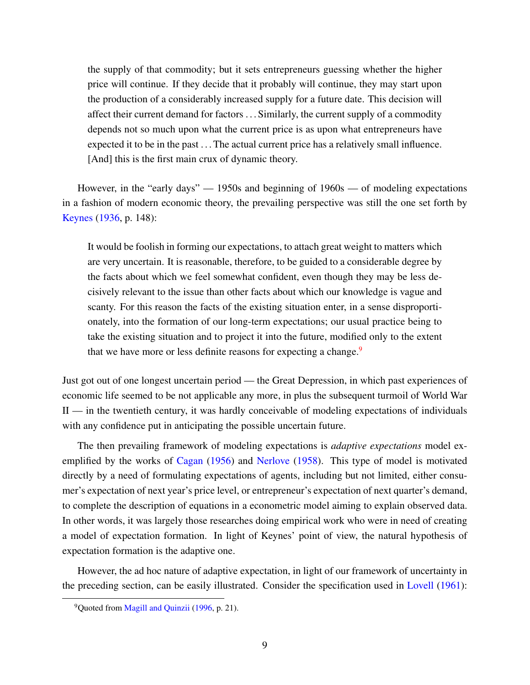<span id="page-8-1"></span>the supply of that commodity; but it sets entrepreneurs guessing whether the higher price will continue. If they decide that it probably will continue, they may start upon the production of a considerably increased supply for a future date. This decision will affect their current demand for factors . . . Similarly, the current supply of a commodity depends not so much upon what the current price is as upon what entrepreneurs have expected it to be in the past . . . The actual current price has a relatively small influence. [And] this is the first main crux of dynamic theory.

However, in the "early days" — 1950s and beginning of 1960s — of modeling expectations in a fashion of modern economic theory, the prevailing perspective was still the one set forth by [Keynes](#page-29-7) [\(1936](#page-29-7), p. 148):

It would be foolish in forming our expectations, to attach great weight to matters which are very uncertain. It is reasonable, therefore, to be guided to a considerable degree by the facts about which we feel somewhat confident, even though they may be less decisively relevant to the issue than other facts about which our knowledge is vague and scanty. For this reason the facts of the existing situation enter, in a sense disproportionately, into the formation of our long-term expectations; our usual practice being to take the existing situation and to project it into the future, modified only to the extent that we have more or less definite reasons for expecting a change.<sup>[9](#page-8-0)</sup>

Just got out of one longest uncertain period — the Great Depression, in which past experiences of economic life seemed to be not applicable any more, in plus the subsequent turmoil of World War  $II$  — in the twentieth century, it was hardly conceivable of modeling expectations of individuals with any confidence put in anticipating the possible uncertain future.

The then prevailing framework of modeling expectations is *adaptive expectations* model exemplified by the works of [Cagan](#page-27-5) [\(1956\)](#page-27-5) and [Nerlove](#page-30-6) [\(1958](#page-30-6)). This type of model is motivated directly by a need of formulating expectations of agents, including but not limited, either consumer's expectation of next year's price level, or entrepreneur's expectation of next quarter's demand, to complete the description of equations in a econometric model aiming to explain observed data. In other words, it was largely those researches doing empirical work who were in need of creating a model of expectation formation. In light of Keynes' point of view, the natural hypothesis of expectation formation is the adaptive one.

However, the ad hoc nature of adaptive expectation, in light of our framework of uncertainty in the preceding section, can be easily illustrated. Consider the specification used in [Lovell](#page-29-8) ([1961\)](#page-29-8):

<span id="page-8-0"></span><sup>&</sup>lt;sup>9</sup>Ouoted from [Magill and Quinzii](#page-30-7) [\(1996](#page-30-7), p. 21).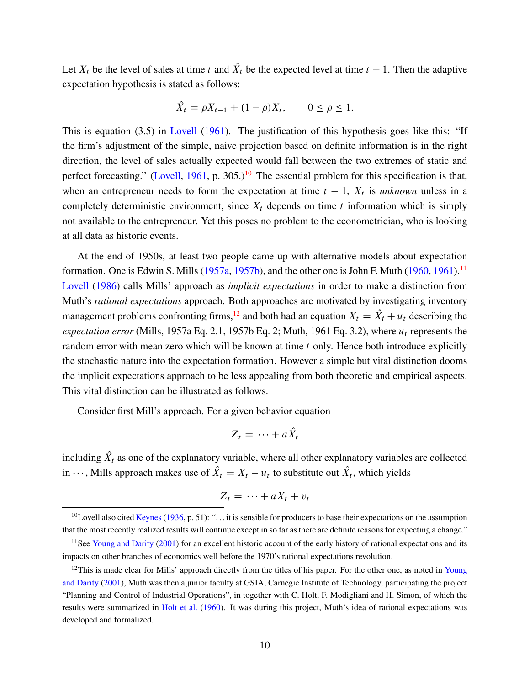<span id="page-9-3"></span>Let  $X_t$  be the level of sales at time t and  $X_t$  be the expected level at time  $t - 1$ . Then the adaptive expectation hypothesis is stated as follows:

$$
\hat{X}_t = \rho X_{t-1} + (1 - \rho) X_t, \qquad 0 \le \rho \le 1.
$$

This is equation (3.5) in [Lovell](#page-29-8) [\(1961](#page-29-8)). The justification of this hypothesis goes like this: "If the firm's adjustment of the simple, naive projection based on definite information is in the right direction, the level of sales actually expected would fall between the two extremes of static and perfect forecasting." ([Lovell,](#page-29-8) [1961](#page-29-8), p. 305.)<sup>[10](#page-9-0)</sup> The essential problem for this specification is that, when an entrepreneur needs to form the expectation at time  $t - 1$ ,  $X_t$  is *unknown* unless in a completely deterministic environment, since  $X_t$  depends on time t information which is simply not available to the entrepreneur. Yet this poses no problem to the econometrician, who is looking at all data as historic events.

At the end of 1950s, at least two people came up with alternative models about expectation formation. One is Edwin S. Mills ([1957a,](#page-30-8) [1957b](#page-30-9)), and the other one is John F. Muth  $(1960, 1961)$  $(1960, 1961)$  $(1960, 1961)$ .<sup>[11](#page-9-1)</sup> [Lovell](#page-29-9) ([1986\)](#page-29-9) calls Mills' approach as *implicit expectations* in order to make a distinction from Muth's *rational expectations* approach. Both approaches are motivated by investigating inventory management problems confronting firms,<sup>[12](#page-9-2)</sup> and both had an equation  $X_t = \hat{X}_t + u_t$  describing the *expectation error* (Mills, 1957a Eq. 2.1, 1957b Eq. 2; Muth, 1961 Eq. 3.2), where  $u_t$  represents the random error with mean zero which will be known at time  $t$  only. Hence both introduce explicitly the stochastic nature into the expectation formation. However a simple but vital distinction dooms the implicit expectations approach to be less appealing from both theoretic and empirical aspects. This vital distinction can be illustrated as follows.

Consider first Mill's approach. For a given behavior equation

$$
Z_t = \cdots + aX_t
$$

including  $X_t$  as one of the explanatory variable, where all other explanatory variables are collected in  $\cdots$ , Mills approach makes use of  $X_t = X_t - u_t$  to substitute out  $X_t$ , which yields

$$
Z_t = \cdots + aX_t + v_t
$$

<span id="page-9-0"></span><sup>&</sup>lt;sup>10</sup>Lovell also cited [Keynes](#page-29-7) [\(1936,](#page-29-7) p. 51): "... it is sensible for producers to base their expectations on the assumption that the most recently realized results will continue except in so far as there are definite reasons for expecting a change."

<span id="page-9-1"></span><sup>&</sup>lt;sup>11</sup>See [Young and Darity](#page-31-3) ([2001](#page-31-3)) for an excellent historic account of the early history of rational expectations and its impacts on other branches of economics well before the 1970's rational expectations revolution.

<span id="page-9-2"></span><sup>&</sup>lt;sup>12</sup>This is made clear for Mills' approach directly from the titles of his paper. For the other one, as noted in [Young](#page-31-3) [and Darity](#page-31-3) ([2001\)](#page-31-3), Muth was then a junior faculty at GSIA, Carnegie Institute of Technology, participating the project "Planning and Control of Industrial Operations", in together with C. Holt, F. Modigliani and H. Simon, of which the results were summarized in [Holt et al.](#page-29-10) ([1960\)](#page-29-10). It was during this project, Muth's idea of rational expectations was developed and formalized.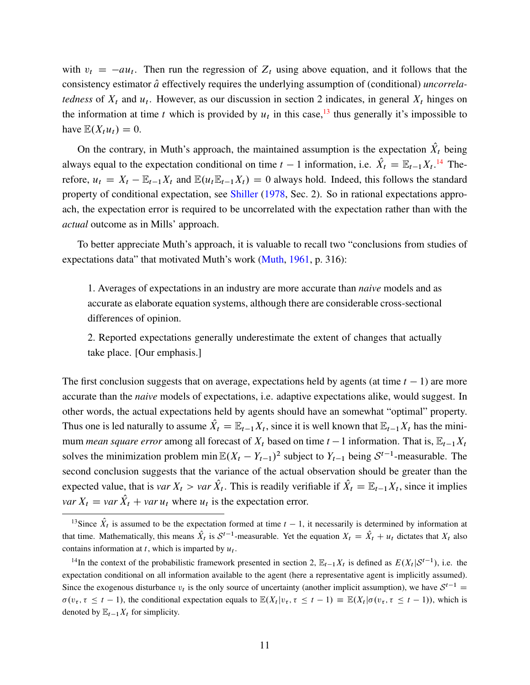<span id="page-10-2"></span>with  $v_t = -au_t$ . Then run the regression of  $Z_t$  using above equation, and it follows that the consistency estimator  $\hat{a}$  effectively requires the underlying assumption of (conditional) *uncorrelatedness* of  $X_t$  and  $u_t$ . However, as our discussion in section 2 indicates, in general  $X_t$  hinges on the information at time t which is provided by  $u_t$  in this case,<sup>[13](#page-10-0)</sup> thus generally it's impossible to have  $\mathbb{E}(X_t u_t) = 0$ .

On the contrary, in Muth's approach, the maintained assumption is the expectation  $X_t$  being always equal to the expectation conditional on time  $t-1$  information, i.e.  $\hat{X}_t = \mathbb{E}_{t-1}X_t$ .<sup>[14](#page-10-1)</sup> Therefore,  $u_t = X_t - \mathbb{E}_{t-1}X_t$  and  $\mathbb{E}(u_t \mathbb{E}_{t-1}X_t) = 0$  always hold. Indeed, this follows the standard property of conditional expectation, see [Shiller](#page-31-4) ([1978](#page-31-4), Sec. 2). So in rational expectations approach, the expectation error is required to be uncorrelated with the expectation rather than with the *actual* outcome as in Mills' approach.

To better appreciate Muth's approach, it is valuable to recall two "conclusions from studies of expectations data" that motivated Muth's work [\(Muth](#page-30-0), [1961](#page-30-0), p. 316):

1. Averages of expectations in an industry are more accurate than *naive* models and as accurate as elaborate equation systems, although there are considerable cross-sectional differences of opinion.

2. Reported expectations generally underestimate the extent of changes that actually take place. [Our emphasis.]

The first conclusion suggests that on average, expectations held by agents (at time  $t - 1$ ) are more accurate than the *naive* models of expectations, i.e. adaptive expectations alike, would suggest. In other words, the actual expectations held by agents should have an somewhat "optimal" property. Thus one is led naturally to assume  $X_t = \mathbb{E}_{t-1}X_t$ , since it is well known that  $\mathbb{E}_{t-1}X_t$  has the minimum *mean square error* among all forecast of  $X_t$  based on time  $t - 1$  information. That is,  $\mathbb{E}_{t-1}X_t$ solves the minimization problem min  $\mathbb{E}(X_t - Y_{t-1})^2$  subject to  $Y_{t-1}$  being  $S^{t-1}$ -measurable. The second conclusion suggests that the variance of the actual observation should be greater than the expected value, that is *var*  $X_t > var X_t$ . This is readily verifiable if  $X_t = \mathbb{E}_{t-1}X_t$ , since it implies *var*  $X_t = \text{var } X_t + \text{var } u_t$  where  $u_t$  is the expectation error.

<span id="page-10-0"></span><sup>&</sup>lt;sup>13</sup>Since  $\hat{X}_t$  is assumed to be the expectation formed at time  $t - 1$ , it necessarily is determined by information at that time. Mathematically, this means  $\hat{X}_t$  is  $S^{t-1}$ -measurable. Yet the equation  $X_t = \hat{X}_t + u_t$  dictates that  $X_t$  also contains information at t, which is imparted by  $u_t$ .

<span id="page-10-1"></span><sup>&</sup>lt;sup>14</sup>In the context of the probabilistic framework presented in section 2,  $\mathbb{E}_{t-1}X_t$  is defined as  $E(X_t|S^{t-1})$ , i.e. the expectation conditional on all information available to the agent (here a representative agent is implicitly assumed). Since the exogenous disturbance  $v_t$  is the only source of uncertainty (another implicit assumption), we have  $S^{t-1}$  $\sigma(v_\tau, \tau \leq t-1)$ , the conditional expectation equals to  $\mathbb{E}(X_t|v_\tau, \tau \leq t-1) \equiv \mathbb{E}(X_t|\sigma(v_\tau, \tau \leq t-1))$ , which is denoted by  $\mathbb{E}_{t-1}X_t$  for simplicity.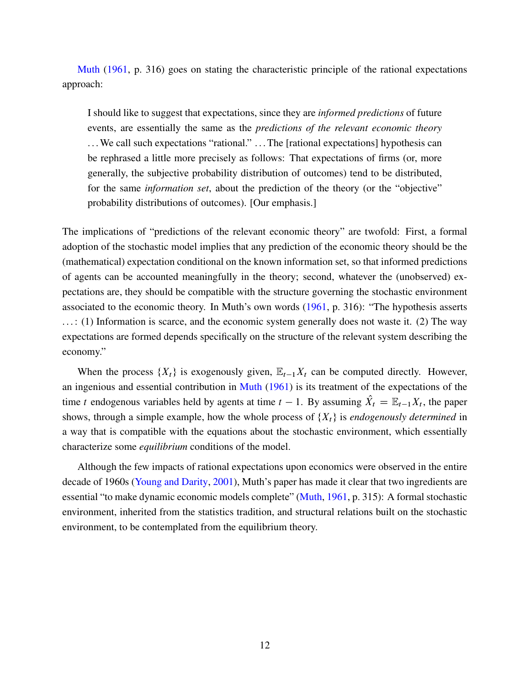<span id="page-11-0"></span>[Muth](#page-30-0) ([1961,](#page-30-0) p. 316) goes on stating the characteristic principle of the rational expectations approach:

I should like to suggest that expectations, since they are *informed predictions* of future events, are essentially the same as the *predictions of the relevant economic theory* ... We call such expectations "rational." ... The [rational expectations] hypothesis can be rephrased a little more precisely as follows: That expectations of firms (or, more generally, the subjective probability distribution of outcomes) tend to be distributed, for the same *information set*, about the prediction of the theory (or the "objective" probability distributions of outcomes). [Our emphasis.]

The implications of "predictions of the relevant economic theory" are twofold: First, a formal adoption of the stochastic model implies that any prediction of the economic theory should be the (mathematical) expectation conditional on the known information set, so that informed predictions of agents can be accounted meaningfully in the theory; second, whatever the (unobserved) expectations are, they should be compatible with the structure governing the stochastic environment associated to the economic theory. In Muth's own words ([1961,](#page-30-0) p. 316): "The hypothesis asserts . . . : (1) Information is scarce, and the economic system generally does not waste it. (2) The way expectations are formed depends specifically on the structure of the relevant system describing the economy."

When the process  $\{X_t\}$  is exogenously given,  $\mathbb{E}_{t-1}X_t$  can be computed directly. However, an ingenious and essential contribution in [Muth](#page-30-0) ([1961](#page-30-0)) is its treatment of the expectations of the time t endogenous variables held by agents at time  $t - 1$ . By assuming  $X_t = \mathbb{E}_{t-1}X_t$ , the paper shows, through a simple example, how the whole process of  $\{X_t\}$  is *endogenously determined* in a way that is compatible with the equations about the stochastic environment, which essentially characterize some *equilibrium* conditions of the model.

Although the few impacts of rational expectations upon economics were observed in the entire decade of 1960s ([Young and Darity](#page-31-3), [2001](#page-31-3)), Muth's paper has made it clear that two ingredients are essential "to make dynamic economic models complete" [\(Muth](#page-30-0), [1961,](#page-30-0) p. 315): A formal stochastic environment, inherited from the statistics tradition, and structural relations built on the stochastic environment, to be contemplated from the equilibrium theory.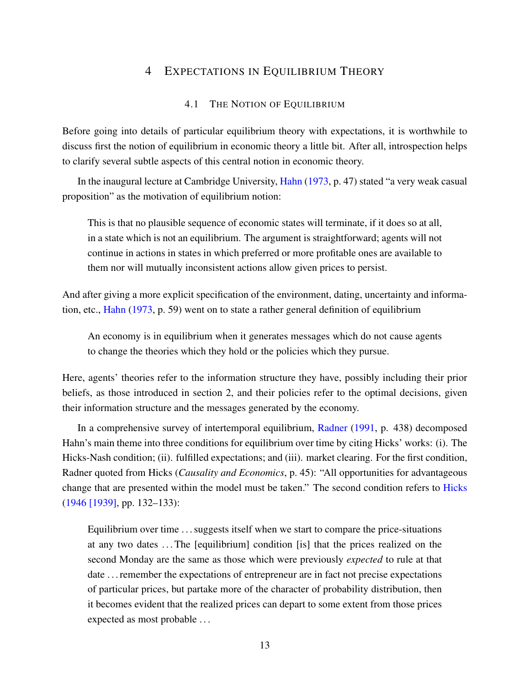# <span id="page-12-0"></span>4 EXPECTATIONS IN EQUILIBRIUM THEORY

#### 4.1 THE NOTION OF EQUILIBRIUM

Before going into details of particular equilibrium theory with expectations, it is worthwhile to discuss first the notion of equilibrium in economic theory a little bit. After all, introspection helps to clarify several subtle aspects of this central notion in economic theory.

In the inaugural lecture at Cambridge University, [Hahn](#page-28-4) ([1973,](#page-28-4) p. 47) stated "a very weak casual proposition" as the motivation of equilibrium notion:

This is that no plausible sequence of economic states will terminate, if it does so at all, in a state which is not an equilibrium. The argument is straightforward; agents will not continue in actions in states in which preferred or more profitable ones are available to them nor will mutually inconsistent actions allow given prices to persist.

And after giving a more explicit specification of the environment, dating, uncertainty and information, etc., [Hahn](#page-28-4) [\(1973](#page-28-4), p. 59) went on to state a rather general definition of equilibrium

An economy is in equilibrium when it generates messages which do not cause agents to change the theories which they hold or the policies which they pursue.

Here, agents' theories refer to the information structure they have, possibly including their prior beliefs, as those introduced in section 2, and their policies refer to the optimal decisions, given their information structure and the messages generated by the economy.

In a comprehensive survey of intertemporal equilibrium, [Radner](#page-31-5) [\(1991](#page-31-5), p. 438) decomposed Hahn's main theme into three conditions for equilibrium over time by citing Hicks' works: (i). The Hicks-Nash condition; (ii). fulfilled expectations; and (iii). market clearing. For the first condition, Radner quoted from Hicks (*Causality and Economics*, p. 45): "All opportunities for advantageous change that are presented within the model must be taken." The second condition refers to [Hicks](#page-29-5) ([1946 \[1939\],](#page-29-5) pp. 132–133):

Equilibrium over time . . . suggests itself when we start to compare the price-situations at any two dates . . . The [equilibrium] condition [is] that the prices realized on the second Monday are the same as those which were previously *expected* to rule at that date . . . remember the expectations of entrepreneur are in fact not precise expectations of particular prices, but partake more of the character of probability distribution, then it becomes evident that the realized prices can depart to some extent from those prices expected as most probable . . .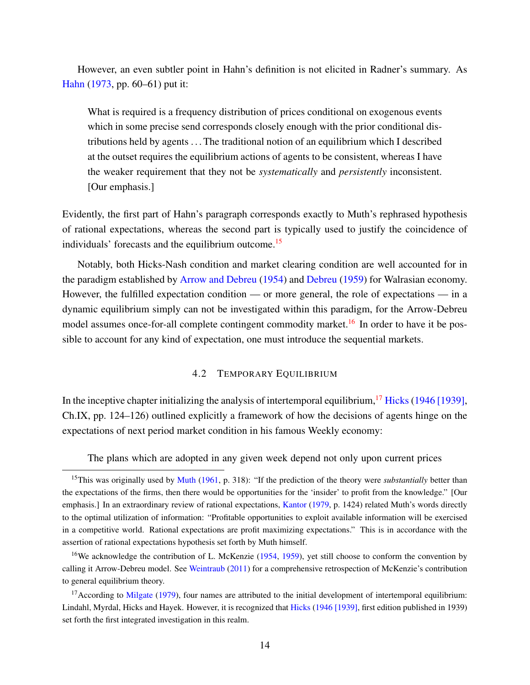<span id="page-13-3"></span>However, an even subtler point in Hahn's definition is not elicited in Radner's summary. As [Hahn](#page-28-4) ([1973,](#page-28-4) pp. 60–61) put it:

What is required is a frequency distribution of prices conditional on exogenous events which in some precise send corresponds closely enough with the prior conditional distributions held by agents . . . The traditional notion of an equilibrium which I described at the outset requires the equilibrium actions of agents to be consistent, whereas I have the weaker requirement that they not be *systematically* and *persistently* inconsistent. [Our emphasis.]

Evidently, the first part of Hahn's paragraph corresponds exactly to Muth's rephrased hypothesis of rational expectations, whereas the second part is typically used to justify the coincidence of individuals' forecasts and the equilibrium outcome.[15](#page-13-0)

Notably, both Hicks-Nash condition and market clearing condition are well accounted for in the paradigm established by [Arrow and Debreu](#page-26-3) ([1954\)](#page-26-3) and [Debreu](#page-27-1) [\(1959](#page-27-1)) for Walrasian economy. However, the fulfilled expectation condition — or more general, the role of expectations — in a dynamic equilibrium simply can not be investigated within this paradigm, for the Arrow-Debreu model assumes once-for-all complete contingent commodity market.<sup>[16](#page-13-1)</sup> In order to have it be possible to account for any kind of expectation, one must introduce the sequential markets.

### 4.2 TEMPORARY EQUILIBRIUM

In the inceptive chapter initializing the analysis of intertemporal equilibrium,  $^{17}$  $^{17}$  $^{17}$  [Hicks](#page-29-5) ([1946 \[1939\]](#page-29-5), Ch.IX, pp. 124–126) outlined explicitly a framework of how the decisions of agents hinge on the expectations of next period market condition in his famous Weekly economy:

The plans which are adopted in any given week depend not only upon current prices

<span id="page-13-0"></span><sup>&</sup>lt;sup>15</sup>This was originally used by [Muth](#page-30-0) ([1961,](#page-30-0) p. 318): "If the prediction of the theory were *substantially* better than the expectations of the firms, then there would be opportunities for the 'insider' to profit from the knowledge." [Our emphasis.] In an extraordinary review of rational expectations, [Kantor](#page-29-11) [\(1979](#page-29-11), p. 1424) related Muth's words directly to the optimal utilization of information: "Profitable opportunities to exploit available information will be exercised in a competitive world. Rational expectations are profit maximizing expectations." This is in accordance with the assertion of rational expectations hypothesis set forth by Muth himself.

<span id="page-13-1"></span><sup>&</sup>lt;sup>16</sup>We acknowledge the contribution of L. McKenzie [\(1954](#page-30-11), [1959\)](#page-30-12), yet still choose to conform the convention by calling it Arrow-Debreu model. See [Weintraub](#page-31-6) ([2011\)](#page-31-6) for a comprehensive retrospection of McKenzie's contribution to general equilibrium theory.

<span id="page-13-2"></span> $17$ According to [Milgate](#page-30-13) [\(1979](#page-30-13)), four names are attributed to the initial development of intertemporal equilibrium: Lindahl, Myrdal, Hicks and Hayek. However, it is recognized that [Hicks](#page-29-5) ([1946 \[1939\]](#page-29-5), first edition published in 1939) set forth the first integrated investigation in this realm.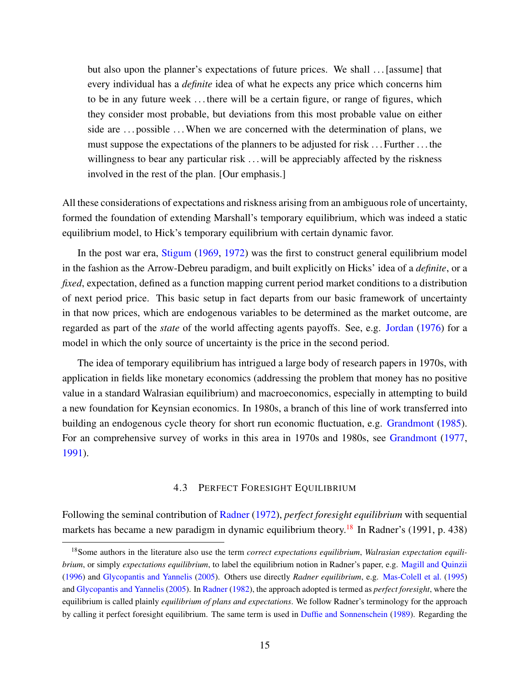<span id="page-14-1"></span>but also upon the planner's expectations of future prices. We shall ... [assume] that every individual has a *definite* idea of what he expects any price which concerns him to be in any future week . . . there will be a certain figure, or range of figures, which they consider most probable, but deviations from this most probable value on either side are ... possible ... When we are concerned with the determination of plans, we must suppose the expectations of the planners to be adjusted for risk . . . Further . . . the willingness to bear any particular risk ... will be appreciably affected by the riskness involved in the rest of the plan. [Our emphasis.]

All these considerations of expectations and riskness arising from an ambiguous role of uncertainty, formed the foundation of extending Marshall's temporary equilibrium, which was indeed a static equilibrium model, to Hick's temporary equilibrium with certain dynamic favor.

In the post war era, [Stigum](#page-31-7) ([1969,](#page-31-7) [1972\)](#page-31-8) was the first to construct general equilibrium model in the fashion as the Arrow-Debreu paradigm, and built explicitly on Hicks' idea of a *definite*, or a *fixed*, expectation, defined as a function mapping current period market conditions to a distribution of next period price. This basic setup in fact departs from our basic framework of uncertainty in that now prices, which are endogenous variables to be determined as the market outcome, are regarded as part of the *state* of the world affecting agents payoffs. See, e.g. [Jordan](#page-29-12) ([1976](#page-29-12)) for a model in which the only source of uncertainty is the price in the second period.

The idea of temporary equilibrium has intrigued a large body of research papers in 1970s, with application in fields like monetary economics (addressing the problem that money has no positive value in a standard Walrasian equilibrium) and macroeconomics, especially in attempting to build a new foundation for Keynsian economics. In 1980s, a branch of this line of work transferred into building an endogenous cycle theory for short run economic fluctuation, e.g. [Grandmont](#page-28-5) [\(1985](#page-28-5)). For an comprehensive survey of works in this area in 1970s and 1980s, see [Grandmont](#page-28-6) [\(1977](#page-28-6), [1991\)](#page-28-7).

#### 4.3 PERFECT FORESIGHT EQUILIBRIUM

Following the seminal contribution of [Radner](#page-30-1) [\(1972\)](#page-30-1), *perfect foresight equilibrium* with sequential markets has became a new paradigm in dynamic equilibrium theory.<sup>[18](#page-14-0)</sup> In Radner's (1991, p. 438)

<span id="page-14-0"></span><sup>18</sup>Some authors in the literature also use the term *correct expectations equilibrium*, *Walrasian expectation equilibrium*, or simply *expectations equilibrium*, to label the equilibrium notion in Radner's paper, e.g. [Magill and Quinzii](#page-30-7) [\(1996](#page-30-7)) and [Glycopantis and Yannelis](#page-28-8) ([2005\)](#page-28-8). Others use directly *Radner equilibrium*, e.g. [Mas-Colell et al.](#page-30-14) ([1995\)](#page-30-14) and [Glycopantis and Yannelis](#page-28-8) [\(2005](#page-28-8)). In [Radner](#page-30-4) [\(1982](#page-30-4)), the approach adopted is termed as *perfect foresight*, where the equilibrium is called plainly *equilibrium of plans and expectations*. We follow Radner's terminology for the approach by calling it perfect foresight equilibrium. The same term is used in [Duffie and Sonnenschein](#page-28-9) [\(1989](#page-28-9)). Regarding the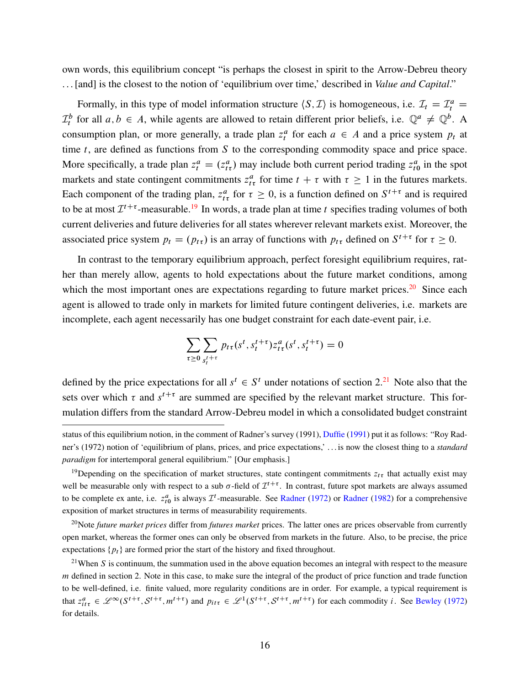<span id="page-15-3"></span>own words, this equilibrium concept "is perhaps the closest in spirit to the Arrow-Debreu theory . . . [and] is the closest to the notion of 'equilibrium over time,' described in *Value and Capital*."

Formally, in this type of model information structure  $\langle S, \mathcal{I} \rangle$  is homogeneous, i.e.  $\mathcal{I}_t = \mathcal{I}_t^a$  $\mathcal{I}_t^b$  for all  $a, b \in A$ , while agents are allowed to retain different prior beliefs, i.e.  $\mathbb{Q}^a \neq \mathbb{Q}^b$ . A consumption plan, or more generally, a trade plan  $z_t^a$  for each  $a \in A$  and a price system  $p_t$  at time  $t$ , are defined as functions from  $S$  to the corresponding commodity space and price space. More specifically, a trade plan  $z_t^a = (z_{t\tau}^a)$  may include both current period trading  $z_{t0}^a$  in the spot markets and state contingent commitments  $z_{t\tau}^a$  for time  $t + \tau$  with  $\tau \ge 1$  in the futures markets. Each component of the trading plan,  $z_{t\tau}^a$  for  $\tau \ge 0$ , is a function defined on  $S^{t+\tau}$  and is required to be at most  $\mathcal{I}^{t+\tau}$ -measurable.<sup>[19](#page-15-0)</sup> In words, a trade plan at time t specifies trading volumes of both current deliveries and future deliveries for all states wherever relevant markets exist. Moreover, the associated price system  $p_t = (p_{t\tau})$  is an array of functions with  $p_{t\tau}$  defined on  $S^{t+\tau}$  for  $\tau \ge 0$ .

In contrast to the temporary equilibrium approach, perfect foresight equilibrium requires, rather than merely allow, agents to hold expectations about the future market conditions, among which the most important ones are expectations regarding to future market prices.<sup>[20](#page-15-1)</sup> Since each agent is allowed to trade only in markets for limited future contingent deliveries, i.e. markets are incomplete, each agent necessarily has one budget constraint for each date-event pair, i.e.

$$
\sum_{\tau \ge 0} \sum_{s_t^{t+\tau}} p_{t\tau}(s^t, s_t^{t+\tau}) z_{t\tau}^a(s^t, s_t^{t+\tau}) = 0
$$

defined by the price expectations for all  $s^t \in S^t$  under notations of section  $2^{\{2\}}$ . Note also that the sets over which  $\tau$  and  $s^{t+\tau}$  are summed are specified by the relevant market structure. This formulation differs from the standard Arrow-Debreu model in which a consolidated budget constraint

status of this equilibrium notion, in the comment of Radner's survey (1991), [Duffie](#page-27-6) [\(1991\)](#page-27-6) put it as follows: "Roy Radner's (1972) notion of 'equilibrium of plans, prices, and price expectations,' . . . is now the closest thing to a *standard paradigm* for intertemporal general equilibrium." [Our emphasis.]

<span id="page-15-0"></span><sup>&</sup>lt;sup>19</sup>Depending on the specification of market structures, state contingent commitments  $z_{t\tau}$  that actually exist may well be measurable only with respect to a sub  $\sigma$ -field of  $\mathcal{I}^{t+\tau}$ . In contrast, future spot markets are always assumed to be complete ex ante, i.e.  $z_{t0}^a$  is always  $\mathcal{I}^t$ -measurable. See [Radner](#page-30-4) [\(1972](#page-30-1)) or Radner ([1982\)](#page-30-4) for a comprehensive exposition of market structures in terms of measurability requirements.

<span id="page-15-1"></span><sup>20</sup>Note *future market prices* differ from *futures market* prices. The latter ones are prices observable from currently open market, whereas the former ones can only be observed from markets in the future. Also, to be precise, the price expectations  $\{p_t\}$  are formed prior the start of the history and fixed throughout.

<span id="page-15-2"></span><sup>&</sup>lt;sup>21</sup>When S is continuum, the summation used in the above equation becomes an integral with respect to the measure  $m$  defined in section 2. Note in this case, to make sure the integral of the product of price function and trade function to be well-defined, i.e. finite valued, more regularity conditions are in order. For example, a typical requirement is that  $z_{it\tau}^a \in \mathcal{L}^{\infty}(S^{t+\tau}, S^{t+\tau}, m^{t+\tau})$  and  $p_{it\tau} \in \mathcal{L}^1(S^{t+\tau}, S^{t+\tau}, m^{t+\tau})$  for each commodity *i*. See [Bewley](#page-27-7) ([1972\)](#page-27-7) for details.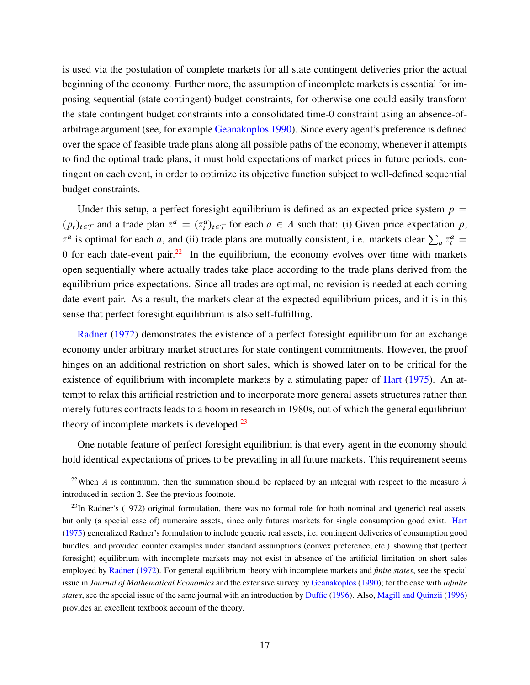<span id="page-16-2"></span>is used via the postulation of complete markets for all state contingent deliveries prior the actual beginning of the economy. Further more, the assumption of incomplete markets is essential for imposing sequential (state contingent) budget constraints, for otherwise one could easily transform the state contingent budget constraints into a consolidated time-0 constraint using an absence-ofarbitrage argument (see, for example [Geanakoplos](#page-28-10) [1990](#page-28-10)). Since every agent's preference is defined over the space of feasible trade plans along all possible paths of the economy, whenever it attempts to find the optimal trade plans, it must hold expectations of market prices in future periods, contingent on each event, in order to optimize its objective function subject to well-defined sequential budget constraints.

Under this setup, a perfect foresight equilibrium is defined as an expected price system  $p =$  $(p_t)_{t \in \mathcal{T}}$  and a trade plan  $z^a = (z_t^a)_{t \in \mathcal{T}}$  for each  $a \in A$  such that: (i) Given price expectation p,  $z^a$  is optimal for each a, and (ii) trade plans are mutually consistent, i.e. markets clear  $\sum_a z_i^a =$ 0 for each date-event pair.<sup>[22](#page-16-0)</sup> In the equilibrium, the economy evolves over time with markets open sequentially where actually trades take place according to the trade plans derived from the equilibrium price expectations. Since all trades are optimal, no revision is needed at each coming date-event pair. As a result, the markets clear at the expected equilibrium prices, and it is in this sense that perfect foresight equilibrium is also self-fulfilling.

[Radner](#page-30-1) ([1972\)](#page-30-1) demonstrates the existence of a perfect foresight equilibrium for an exchange economy under arbitrary market structures for state contingent commitments. However, the proof hinges on an additional restriction on short sales, which is showed later on to be critical for the existence of equilibrium with incomplete markets by a stimulating paper of [Hart](#page-29-13) [\(1975](#page-29-13)). An attempt to relax this artificial restriction and to incorporate more general assets structures rather than merely futures contracts leads to a boom in research in 1980s, out of which the general equilibrium theory of incomplete markets is developed. $^{23}$  $^{23}$  $^{23}$ 

One notable feature of perfect foresight equilibrium is that every agent in the economy should hold identical expectations of prices to be prevailing in all future markets. This requirement seems

<span id="page-16-0"></span><sup>&</sup>lt;sup>22</sup>When A is continuum, then the summation should be replaced by an integral with respect to the measure  $\lambda$ introduced in section 2. See the previous footnote.

<span id="page-16-1"></span> $^{23}$ In Radner's (1972) original formulation, there was no formal role for both nominal and (generic) real assets, but only (a special case of) numeraire assets, since only futures markets for single consumption good exist. [Hart](#page-29-13) [\(1975](#page-29-13)) generalized Radner's formulation to include generic real assets, i.e. contingent deliveries of consumption good bundles, and provided counter examples under standard assumptions (convex preference, etc.) showing that (perfect foresight) equilibrium with incomplete markets may not exist in absence of the artificial limitation on short sales employed by [Radner](#page-30-1) ([1972\)](#page-30-1). For general equilibrium theory with incomplete markets and *finite states*, see the special issue in *Journal of Mathematical Economics* and the extensive survey by [Geanakoplos](#page-28-10) [\(1990](#page-28-10)); for the case with *infinite states*, see the special issue of the same journal with an introduction by [Duffie](#page-27-8) ([1996\)](#page-27-8). Also, [Magill and Quinzii](#page-30-7) ([1996\)](#page-30-7) provides an excellent textbook account of the theory.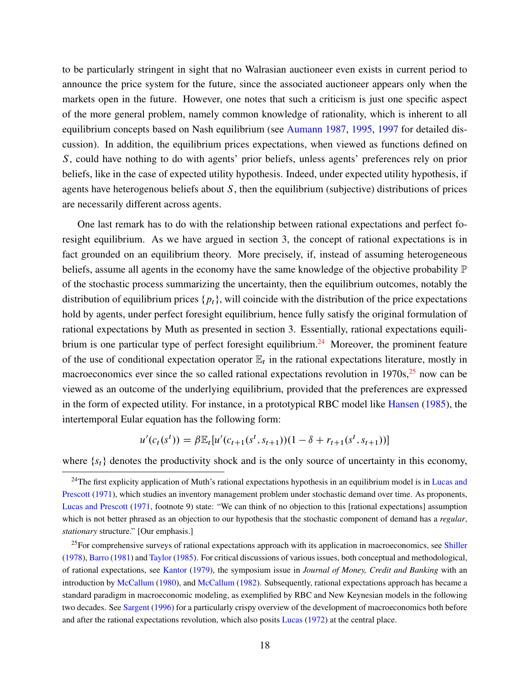<span id="page-17-2"></span>to be particularly stringent in sight that no Walrasian auctioneer even exists in current period to announce the price system for the future, since the associated auctioneer appears only when the markets open in the future. However, one notes that such a criticism is just one specific aspect of the more general problem, namely common knowledge of rationality, which is inherent to all equilibrium concepts based on Nash equilibrium (see [Aumann](#page-26-4) [1987,](#page-26-4) [1995](#page-26-5), [1997](#page-27-9) for detailed discussion). In addition, the equilibrium prices expectations, when viewed as functions defined on S, could have nothing to do with agents' prior beliefs, unless agents' preferences rely on prior beliefs, like in the case of expected utility hypothesis. Indeed, under expected utility hypothesis, if agents have heterogenous beliefs about  $S$ , then the equilibrium (subjective) distributions of prices are necessarily different across agents.

One last remark has to do with the relationship between rational expectations and perfect foresight equilibrium. As we have argued in section 3, the concept of rational expectations is in fact grounded on an equilibrium theory. More precisely, if, instead of assuming heterogeneous beliefs, assume all agents in the economy have the same knowledge of the objective probability  $\mathbb P$ of the stochastic process summarizing the uncertainty, then the equilibrium outcomes, notably the distribution of equilibrium prices  $\{p_t\}$ , will coincide with the distribution of the price expectations hold by agents, under perfect foresight equilibrium, hence fully satisfy the original formulation of rational expectations by Muth as presented in section 3. Essentially, rational expectations equili-brium is one particular type of perfect foresight equilibrium.<sup>[24](#page-17-0)</sup> Moreover, the prominent feature of the use of conditional expectation operator  $\mathbb{E}_t$  in the rational expectations literature, mostly in macroeconomics ever since the so called rational expectations revolution in  $1970s$ ,  $^{25}$  $^{25}$  $^{25}$  now can be viewed as an outcome of the underlying equilibrium, provided that the preferences are expressed in the form of expected utility. For instance, in a prototypical RBC model like [Hansen](#page-29-14) [\(1985](#page-29-14)), the intertemporal Eular equation has the following form:

$$
u'(c_t(s^t)) = \beta \mathbb{E}_t[u'(c_{t+1}(s^t, s_{t+1}))(1 - \delta + r_{t+1}(s^t, s_{t+1}))]
$$

where  $\{s_t\}$  denotes the productivity shock and is the only source of uncertainty in this economy,

<span id="page-17-0"></span> $24$ The first explicity application of Muth's rational expectations hypothesis in an equilibrium model is in [Lucas and](#page-30-15) [Prescott](#page-30-15) ([1971\)](#page-30-15), which studies an inventory management problem under stochastic demand over time. As proponents, [Lucas and Prescott](#page-30-15) ([1971,](#page-30-15) footnote 9) state: "We can think of no objection to this [rational expectations] assumption which is not better phrased as an objection to our hypothesis that the stochastic component of demand has a *regular*, *stationary* structure." [Our emphasis.]

<span id="page-17-1"></span><sup>&</sup>lt;sup>25</sup>For comprehensive surveys of rational expectations approach with its application in macroeconomics, see [Shiller](#page-31-4) [\(1978](#page-31-4)), [Barro](#page-27-10) [\(1981\)](#page-27-10) and [Taylor](#page-31-9) ([1985\)](#page-31-9). For critical discussions of various issues, both conceptual and methodological, of rational expectations, see [Kantor](#page-29-11) ([1979](#page-29-11)), the symposium issue in *Journal of Money, Credit and Banking* with an introduction by [McCallum](#page-30-16) ([1980\)](#page-30-16), and [McCallum](#page-30-17) ([1982\)](#page-30-17). Subsequently, rational expectations approach has became a standard paradigm in macroeconomic modeling, as exemplified by RBC and New Keynesian models in the following two decades. See [Sargent](#page-31-10) [\(1996](#page-31-10)) for a particularly crispy overview of the development of macroeconomics both before and after the rational expectations revolution, which also posits [Lucas](#page-29-0) ([1972](#page-29-0)) at the central place.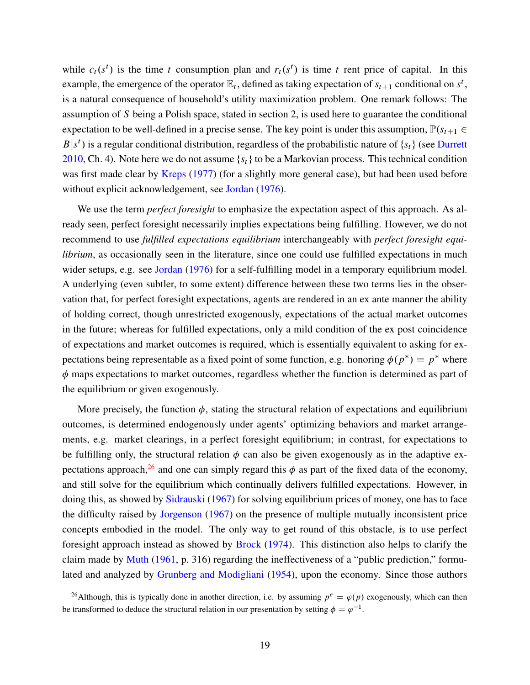<span id="page-18-1"></span>while  $c_t(s^t)$  is the time t consumption plan and  $r_t(s^t)$  is time t rent price of capital. In this example, the emergence of the operator  $\mathbb{E}_t$ , defined as taking expectation of  $s_{t+1}$  conditional on  $s^t$ , is a natural consequence of household's utility maximization problem. One remark follows: The assumption of S being a Polish space, stated in section 2, is used here to guarantee the conditional expectation to be well-defined in a precise sense. The key point is under this assumption,  $\mathbb{P}(s_{t+1} \in$  $B|s^t$ ) is a regular conditional distribution, regardless of the probabilistic nature of  $\{s_t\}$  (see [Durrett](#page-28-0) [2010,](#page-28-0) Ch. 4). Note here we do not assume  $\{s_t\}$  to be a Markovian process. This technical condition was first made clear by [Kreps](#page-29-15) [\(1977](#page-29-15)) (for a slightly more general case), but had been used before without explicit acknowledgement, see [Jordan](#page-29-12) ([1976\)](#page-29-12).

We use the term *perfect foresight* to emphasize the expectation aspect of this approach. As already seen, perfect foresight necessarily implies expectations being fulfilling. However, we do not recommend to use *fulfilled expectations equilibrium* interchangeably with *perfect foresight equilibrium*, as occasionally seen in the literature, since one could use fulfilled expectations in much wider setups, e.g. see [Jordan](#page-29-12) [\(1976](#page-29-12)) for a self-fulfilling model in a temporary equilibrium model. A underlying (even subtler, to some extent) difference between these two terms lies in the observation that, for perfect foresight expectations, agents are rendered in an ex ante manner the ability of holding correct, though unrestricted exogenously, expectations of the actual market outcomes in the future; whereas for fulfilled expectations, only a mild condition of the ex post coincidence of expectations and market outcomes is required, which is essentially equivalent to asking for expectations being representable as a fixed point of some function, e.g. honoring  $\phi(p^*) = p^*$  where  $\phi$  maps expectations to market outcomes, regardless whether the function is determined as part of the equilibrium or given exogenously.

More precisely, the function  $\phi$ , stating the structural relation of expectations and equilibrium outcomes, is determined endogenously under agents' optimizing behaviors and market arrangements, e.g. market clearings, in a perfect foresight equilibrium; in contrast, for expectations to be fulfilling only, the structural relation  $\phi$  can also be given exogenously as in the adaptive ex-pectations approach,<sup>[26](#page-18-0)</sup> and one can simply regard this  $\phi$  as part of the fixed data of the economy, and still solve for the equilibrium which continually delivers fulfilled expectations. However, in doing this, as showed by [Sidrauski](#page-31-11) ([1967\)](#page-31-11) for solving equilibrium prices of money, one has to face the difficulty raised by [Jorgenson](#page-29-16) [\(1967](#page-29-16)) on the presence of multiple mutually inconsistent price concepts embodied in the model. The only way to get round of this obstacle, is to use perfect foresight approach instead as showed by [Brock](#page-27-11) ([1974](#page-27-11)). This distinction also helps to clarify the claim made by [Muth](#page-30-0) [\(1961](#page-30-0), p. 316) regarding the ineffectiveness of a "public prediction," formulated and analyzed by [Grunberg and Modigliani](#page-28-11) ([1954\)](#page-28-11), upon the economy. Since those authors

<span id="page-18-0"></span><sup>&</sup>lt;sup>26</sup>Although, this is typically done in another direction, i.e. by assuming  $p^e = \varphi(p)$  exogenously, which can then be transformed to deduce the structural relation in our presentation by setting  $\phi = \varphi^{-1}$ .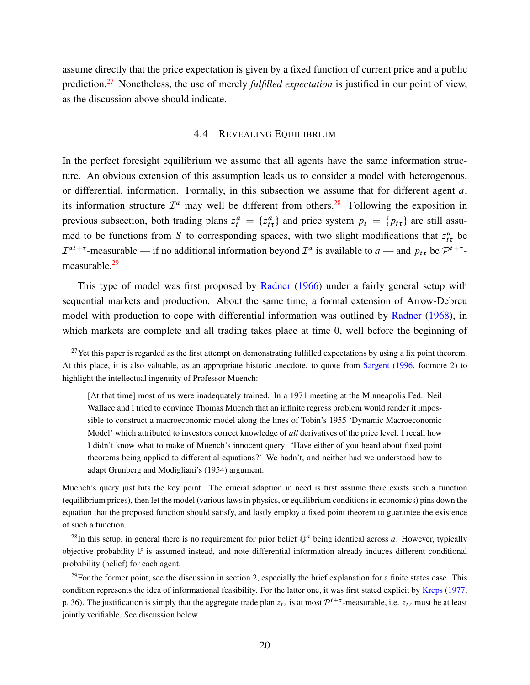<span id="page-19-3"></span>assume directly that the price expectation is given by a fixed function of current price and a public prediction.[27](#page-19-0) Nonetheless, the use of merely *fulfilled expectation* is justified in our point of view, as the discussion above should indicate.

#### 4.4 REVEALING EQUILIBRIUM

In the perfect foresight equilibrium we assume that all agents have the same information structure. An obvious extension of this assumption leads us to consider a model with heterogenous, or differential, information. Formally, in this subsection we assume that for different agent  $a$ , its information structure  $\mathcal{I}^a$  may well be different from others.<sup>[28](#page-19-1)</sup> Following the exposition in previous subsection, both trading plans  $z_t^a = \{z_{t\tau}^a\}$  and price system  $p_t = \{p_{t\tau}\}\$ are still assumed to be functions from S to corresponding spaces, with two slight modifications that  $z_{t\tau}^a$  be  $\mathcal{I}^{at+\tau}$ -measurable — if no additional information beyond  $\mathcal{I}^a$  is available to  $a$  — and  $p_t$ , be  $\mathcal{P}^{t+\tau}$ measurable.[29](#page-19-2)

This type of model was first proposed by [Radner](#page-30-2) [\(1966](#page-30-2)) under a fairly general setup with sequential markets and production. About the same time, a formal extension of Arrow-Debreu model with production to cope with differential information was outlined by [Radner](#page-30-5) [\(1968](#page-30-5)), in which markets are complete and all trading takes place at time 0, well before the beginning of

[At that time] most of us were inadequately trained. In a 1971 meeting at the Minneapolis Fed. Neil Wallace and I tried to convince Thomas Muench that an infinite regress problem would render it impossible to construct a macroeconomic model along the lines of Tobin's 1955 'Dynamic Macroeconomic Model' which attributed to investors correct knowledge of *all* derivatives of the price level. I recall how I didn't know what to make of Muench's innocent query: 'Have either of you heard about fixed point theorems being applied to differential equations?' We hadn't, and neither had we understood how to adapt Grunberg and Modigliani's (1954) argument.

Muench's query just hits the key point. The crucial adaption in need is first assume there exists such a function (equilibrium prices), then let the model (various laws in physics, or equilibrium conditions in economics) pins down the equation that the proposed function should satisfy, and lastly employ a fixed point theorem to guarantee the existence of such a function.

<span id="page-19-1"></span><sup>28</sup>In this setup, in general there is no requirement for prior belief  $\mathbb{Q}^a$  being identical across a. However, typically objective probability P is assumed instead, and note differential information already induces different conditional probability (belief) for each agent.

<span id="page-19-2"></span> $29$ For the former point, see the discussion in section 2, especially the brief explanation for a finite states case. This condition represents the idea of informational feasibility. For the latter one, it was first stated explicit by [Kreps](#page-29-15) ([1977,](#page-29-15) p. 36). The justification is simply that the aggregate trade plan  $z_{t\tau}$  is at most  $\mathcal{P}^{t+\tau}$ -measurable, i.e.  $z_{t\tau}$  must be at least jointly verifiable. See discussion below.

<span id="page-19-0"></span> $27$ Yet this paper is regarded as the first attempt on demonstrating fulfilled expectations by using a fix point theorem. At this place, it is also valuable, as an appropriate historic anecdote, to quote from [Sargent](#page-31-10) [\(1996](#page-31-10), footnote 2) to highlight the intellectual ingenuity of Professor Muench: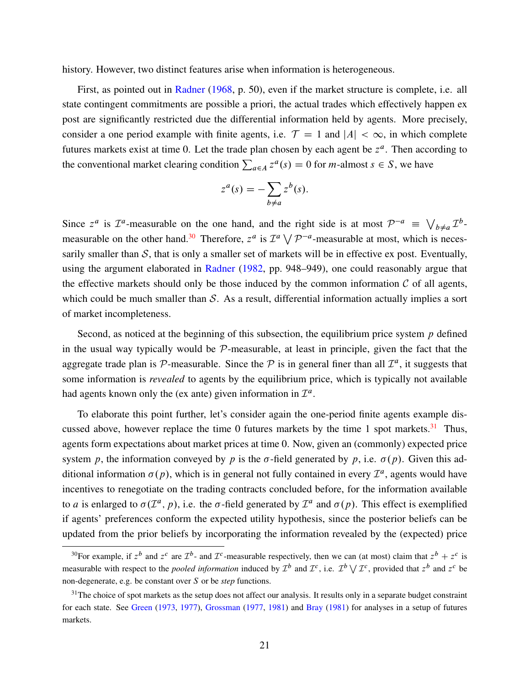<span id="page-20-2"></span>history. However, two distinct features arise when information is heterogeneous.

First, as pointed out in [Radner](#page-30-5) [\(1968](#page-30-5), p. 50), even if the market structure is complete, i.e. all state contingent commitments are possible a priori, the actual trades which effectively happen ex post are significantly restricted due the differential information held by agents. More precisely, consider a one period example with finite agents, i.e.  $\mathcal{T} = 1$  and  $|A| < \infty$ , in which complete futures markets exist at time 0. Let the trade plan chosen by each agent be  $z<sup>a</sup>$ . Then according to the conventional market clearing condition  $\sum_{a \in A} z^a(s) = 0$  for *m*-almost  $s \in S$ , we have

$$
z^{a}(s) = -\sum_{b \neq a} z^{b}(s).
$$

Since  $z^a$  is  $\mathcal{I}^a$ -measurable on the one hand, and the right side is at most  $\mathcal{P}^{-a} \equiv \bigvee$  $_{b\neq a}$   $\mathcal{I}^b$ -measurable on the other hand.<sup>[30](#page-20-0)</sup> Therefore,  $z^a$  is  $\mathcal{I}^a \setminus \mathcal{I}^a$  $P^{-a}$ -measurable at most, which is necessarily smaller than  $S$ , that is only a smaller set of markets will be in effective ex post. Eventually, using the argument elaborated in [Radner](#page-30-4) ([1982,](#page-30-4) pp. 948–949), one could reasonably argue that the effective markets should only be those induced by the common information  $C$  of all agents, which could be much smaller than *S*. As a result, differential information actually implies a sort of market incompleteness.

Second, as noticed at the beginning of this subsection, the equilibrium price system  $p$  defined in the usual way typically would be *P*-measurable, at least in principle, given the fact that the aggregate trade plan is  $P$ -measurable. Since the  $P$  is in general finer than all  $\mathcal{I}^a$ , it suggests that some information is *revealed* to agents by the equilibrium price, which is typically not available had agents known only the (ex ante) given information in  $\mathcal{I}^a$ .

To elaborate this point further, let's consider again the one-period finite agents example dis-cussed above, however replace the time 0 futures markets by the time 1 spot markets.<sup>[31](#page-20-1)</sup> Thus, agents form expectations about market prices at time 0. Now, given an (commonly) expected price system p, the information conveyed by p is the  $\sigma$ -field generated by p, i.e.  $\sigma(p)$ . Given this additional information  $\sigma(p)$ , which is in general not fully contained in every  $\mathcal{I}^a$ , agents would have incentives to renegotiate on the trading contracts concluded before, for the information available to *a* is enlarged to  $\sigma(\mathcal{I}^a, p)$ , i.e. the  $\sigma$ -field generated by  $\mathcal{I}^a$  and  $\sigma(p)$ . This effect is exemplified if agents' preferences conform the expected utility hypothesis, since the posterior beliefs can be updated from the prior beliefs by incorporating the information revealed by the (expected) price

<span id="page-20-0"></span><sup>&</sup>lt;sup>30</sup>For example, if  $z^b$  and  $z^c$  are  $\mathcal{I}^b$ - and  $\mathcal{I}^c$ -measurable respectively, then we can (at most) claim that  $z^b + z^c$  is measurable with respect to the *pooled information* induced by  $\mathcal{I}^b$  and  $\mathcal{I}^c$ , i.e.  $\mathcal{I}^b \setminus \mathcal{I}^c$ , provided that  $z^b$  and  $z^c$  be non-degenerate, e.g. be constant over S or be *step* functions.

<span id="page-20-1"></span><sup>&</sup>lt;sup>31</sup>The choice of spot markets as the setup does not affect our analysis. It results only in a separate budget constraint for each state. See [Green](#page-28-12) ([1973,](#page-28-12) [1977](#page-28-13)), [Grossman](#page-28-14) [\(1977](#page-28-14), [1981\)](#page-28-15) and [Bray](#page-27-12) ([1981\)](#page-27-12) for analyses in a setup of futures markets.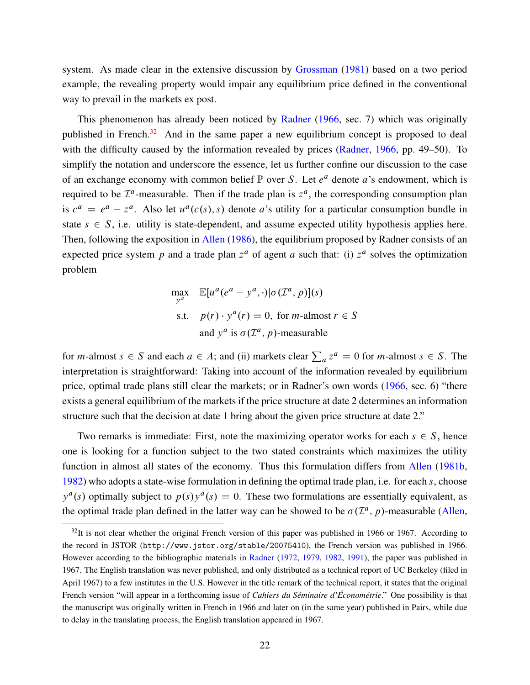<span id="page-21-1"></span>system. As made clear in the extensive discussion by [Grossman](#page-28-15) [\(1981](#page-28-15)) based on a two period example, the revealing property would impair any equilibrium price defined in the conventional way to prevail in the markets ex post.

This phenomenon has already been noticed by [Radner](#page-30-2) ([1966,](#page-30-2) sec. 7) which was originally published in French.<sup>[32](#page-21-0)</sup> And in the same paper a new equilibrium concept is proposed to deal with the difficulty caused by the information revealed by prices [\(Radner,](#page-30-2) [1966,](#page-30-2) pp. 49–50). To simplify the notation and underscore the essence, let us further confine our discussion to the case of an exchange economy with common belief  $\mathbb P$  over S. Let  $e^a$  denote a's endowment, which is required to be  $\mathcal{I}^a$ -measurable. Then if the trade plan is  $z^a$ , the corresponding consumption plan is  $c^a = e^a - z^a$ . Also let  $u^a(c(s), s)$  denote a's utility for a particular consumption bundle in state  $s \in S$ , i.e. utility is state-dependent, and assume expected utility hypothesis applies here. Then, following the exposition in [Allen](#page-26-6) ([1986\)](#page-26-6), the equilibrium proposed by Radner consists of an expected price system p and a trade plan  $z^a$  of agent a such that: (i)  $z^a$  solves the optimization problem

$$
\max_{y^a} \mathbb{E}[u^a(e^a - y^a, \cdot)|\sigma(\mathcal{I}^a, p)](s)
$$
  
s.t.  $p(r) \cdot y^a(r) = 0$ , for *m*-almost  $r \in S$   
and  $y^a$  is  $\sigma(\mathcal{I}^a, p)$ -measurable

for *m*-almost  $s \in S$  and each  $a \in A$ ; and (ii) markets clear  $\sum_a z^a = 0$  for *m*-almost  $s \in S$ . The interpretation is straightforward: Taking into account of the information revealed by equilibrium price, optimal trade plans still clear the markets; or in Radner's own words ([1966](#page-30-2), sec. 6) "there exists a general equilibrium of the markets if the price structure at date 2 determines an information structure such that the decision at date 1 bring about the given price structure at date 2."

Two remarks is immediate: First, note the maximizing operator works for each  $s \in S$ , hence one is looking for a function subject to the two stated constraints which maximizes the utility function in almost all states of the economy. Thus this formulation differs from [Allen](#page-26-7) [\(1981b](#page-26-7), [1982\)](#page-26-8) who adopts a state-wise formulation in defining the optimal trade plan, i.e. for each s, choose  $y^a$ (s) optimally subject to  $p(s)y^a$ (s) = 0. These two formulations are essentially equivalent, as the optimal trade plan defined in the latter way can be showed to be  $\sigma(\mathcal{I}^a, p)$ -measurable [\(Allen](#page-26-7),

<span id="page-21-0"></span> $32$ It is not clear whether the original French version of this paper was published in 1966 or 1967. According to the record in JSTOR (http://www.jstor.org/stable/20075410), the French version was published in 1966. However according to the bibliographic materials in [Radner](#page-30-1) ([1972,](#page-30-1) [1979](#page-30-3), [1982](#page-30-4), [1991\)](#page-31-5), the paper was published in 1967. The English translation was never published, and only distributed as a technical report of UC Berkeley (filed in April 1967) to a few institutes in the U.S. However in the title remark of the technical report, it states that the original French version "will appear in a forthcoming issue of *Cahiers du Séminaire d'Économétrie*." One possibility is that the manuscript was originally written in French in 1966 and later on (in the same year) published in Pairs, while due to delay in the translating process, the English translation appeared in 1967.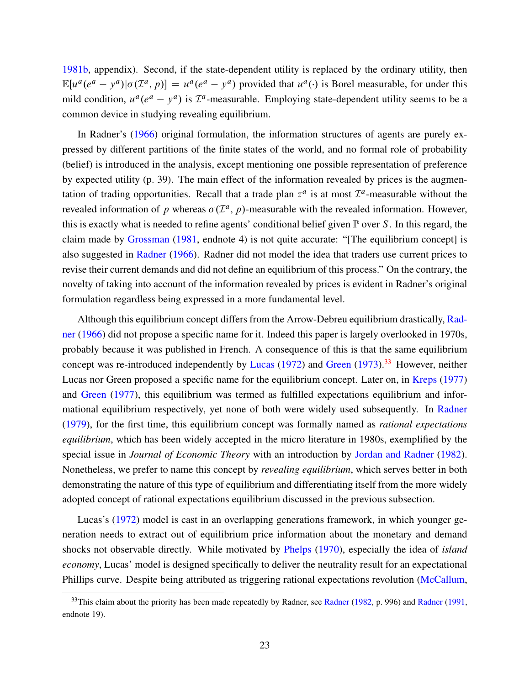<span id="page-22-1"></span>[1981b,](#page-26-7) appendix). Second, if the state-dependent utility is replaced by the ordinary utility, then  $\mathbb{E}[u^a(e^a - y^a)|\sigma(\mathcal{I}^a, p)] = u^a(e^a - y^a)$  provided that  $u^a(\cdot)$  is Borel measurable, for under this mild condition,  $u^a(e^a - y^a)$  is  $\mathcal{I}^a$ -measurable. Employing state-dependent utility seems to be a common device in studying revealing equilibrium.

In Radner's [\(1966](#page-30-2)) original formulation, the information structures of agents are purely expressed by different partitions of the finite states of the world, and no formal role of probability (belief) is introduced in the analysis, except mentioning one possible representation of preference by expected utility (p. 39). The main effect of the information revealed by prices is the augmentation of trading opportunities. Recall that a trade plan  $z^a$  is at most  $\mathcal{I}^a$ -measurable without the revealed information of p whereas  $\sigma(\mathcal{I}^a, p)$ -measurable with the revealed information. However, this is exactly what is needed to refine agents' conditional belief given  $\mathbb P$  over S. In this regard, the claim made by [Grossman](#page-28-15) ([1981,](#page-28-15) endnote 4) is not quite accurate: "[The equilibrium concept] is also suggested in [Radner](#page-30-2) ([1966\)](#page-30-2). Radner did not model the idea that traders use current prices to revise their current demands and did not define an equilibrium of this process." On the contrary, the novelty of taking into account of the information revealed by prices is evident in Radner's original formulation regardless being expressed in a more fundamental level.

Although this equilibrium concept differs from the Arrow-Debreu equilibrium drastically, [Rad](#page-30-2)[ner](#page-30-2) [\(1966](#page-30-2)) did not propose a specific name for it. Indeed this paper is largely overlooked in 1970s, probably because it was published in French. A consequence of this is that the same equilibrium concept was re-introduced independently by [Lucas](#page-29-0) ([1972\)](#page-29-0) and [Green](#page-28-12) [\(1973](#page-28-12)).<sup>[33](#page-22-0)</sup> However, neither Lucas nor Green proposed a specific name for the equilibrium concept. Later on, in [Kreps](#page-29-15) [\(1977](#page-29-15)) and [Green](#page-28-13) [\(1977](#page-28-13)), this equilibrium was termed as fulfilled expectations equilibrium and informational equilibrium respectively, yet none of both were widely used subsequently. In [Radner](#page-30-3) ([1979\)](#page-30-3), for the first time, this equilibrium concept was formally named as *rational expectations equilibrium*, which has been widely accepted in the micro literature in 1980s, exemplified by the special issue in *Journal of Economic Theory* with an introduction by [Jordan and Radner](#page-29-17) [\(1982](#page-29-17)). Nonetheless, we prefer to name this concept by *revealing equilibrium*, which serves better in both demonstrating the nature of this type of equilibrium and differentiating itself from the more widely adopted concept of rational expectations equilibrium discussed in the previous subsection.

Lucas's ([1972](#page-29-0)) model is cast in an overlapping generations framework, in which younger generation needs to extract out of equilibrium price information about the monetary and demand shocks not observable directly. While motivated by [Phelps](#page-30-18) ([1970\)](#page-30-18), especially the idea of *island economy*, Lucas' model is designed specifically to deliver the neutrality result for an expectational Phillips curve. Despite being attributed as triggering rational expectations revolution ([McCallum](#page-30-17),

<span id="page-22-0"></span><sup>&</sup>lt;sup>33</sup>This claim about the priority has been made repeatedly by [Radner](#page-31-5), see Radner ([1982](#page-30-4), p. 996) and Radner ([1991,](#page-31-5) endnote 19).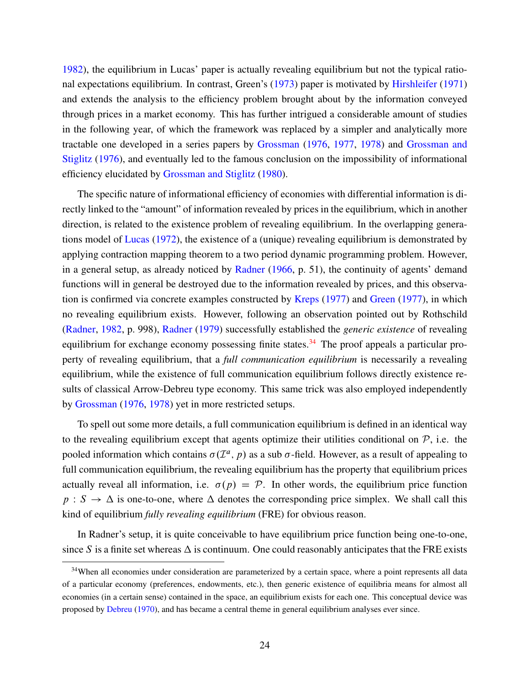<span id="page-23-1"></span>[1982\)](#page-30-17), the equilibrium in Lucas' paper is actually revealing equilibrium but not the typical rational expectations equilibrium. In contrast, Green's [\(1973](#page-28-12)) paper is motivated by [Hirshleifer](#page-29-18) [\(1971](#page-29-18)) and extends the analysis to the efficiency problem brought about by the information conveyed through prices in a market economy. This has further intrigued a considerable amount of studies in the following year, of which the framework was replaced by a simpler and analytically more tractable one developed in a series papers by [Grossman](#page-28-16) [\(1976](#page-28-16), [1977](#page-28-14), [1978](#page-28-17)) and [Grossman and](#page-28-18) [Stiglitz](#page-28-18) ([1976\)](#page-28-18), and eventually led to the famous conclusion on the impossibility of informational efficiency elucidated by [Grossman and Stiglitz](#page-28-19) ([1980\)](#page-28-19).

The specific nature of informational efficiency of economies with differential information is directly linked to the "amount" of information revealed by prices in the equilibrium, which in another direction, is related to the existence problem of revealing equilibrium. In the overlapping generations model of [Lucas](#page-29-0) ([1972\)](#page-29-0), the existence of a (unique) revealing equilibrium is demonstrated by applying contraction mapping theorem to a two period dynamic programming problem. However, in a general setup, as already noticed by [Radner](#page-30-2) ([1966,](#page-30-2) p. 51), the continuity of agents' demand functions will in general be destroyed due to the information revealed by prices, and this observation is confirmed via concrete examples constructed by [Kreps](#page-29-15) ([1977\)](#page-29-15) and [Green](#page-28-13) [\(1977\)](#page-28-13), in which no revealing equilibrium exists. However, following an observation pointed out by Rothschild ([Radner,](#page-30-4) [1982,](#page-30-4) p. 998), [Radner](#page-30-3) [\(1979](#page-30-3)) successfully established the *generic existence* of revealing equilibrium for exchange economy possessing finite states.<sup>[34](#page-23-0)</sup> The proof appeals a particular property of revealing equilibrium, that a *full communication equilibrium* is necessarily a revealing equilibrium, while the existence of full communication equilibrium follows directly existence results of classical Arrow-Debreu type economy. This same trick was also employed independently by [Grossman](#page-28-16) [\(1976](#page-28-16), [1978](#page-28-17)) yet in more restricted setups.

To spell out some more details, a full communication equilibrium is defined in an identical way to the revealing equilibrium except that agents optimize their utilities conditional on  $P$ , i.e. the pooled information which contains  $\sigma(\mathcal{I}^a, p)$  as a sub  $\sigma$ -field. However, as a result of appealing to full communication equilibrium, the revealing equilibrium has the property that equilibrium prices actually reveal all information, i.e.  $\sigma(p) = \mathcal{P}$ . In other words, the equilibrium price function  $p : S \to \Delta$  is one-to-one, where  $\Delta$  denotes the corresponding price simplex. We shall call this kind of equilibrium *fully revealing equilibrium* (FRE) for obvious reason.

In Radner's setup, it is quite conceivable to have equilibrium price function being one-to-one, since S is a finite set whereas  $\Delta$  is continuum. One could reasonably anticipates that the FRE exists

<span id="page-23-0"></span><sup>&</sup>lt;sup>34</sup>When all economies under consideration are parameterized by a certain space, where a point represents all data of a particular economy (preferences, endowments, etc.), then generic existence of equilibria means for almost all economies (in a certain sense) contained in the space, an equilibrium exists for each one. This conceptual device was proposed by [Debreu](#page-27-13) ([1970\)](#page-27-13), and has became a central theme in general equilibrium analyses ever since.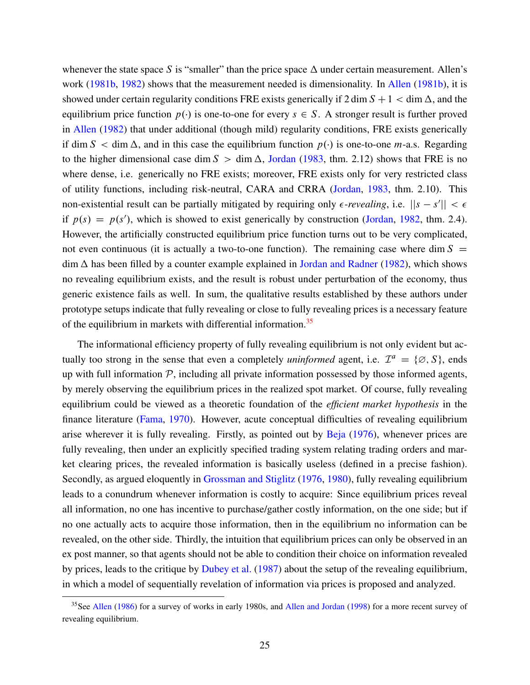<span id="page-24-1"></span>whenever the state space S is "smaller" than the price space  $\Delta$  under certain measurement. Allen's work ([1981b,](#page-26-7) [1982\)](#page-26-8) shows that the measurement needed is dimensionality. In [Allen](#page-26-7) [\(1981b\)](#page-26-7), it is showed under certain regularity conditions FRE exists generically if  $2 \dim S + 1 < \dim \Delta$ , and the equilibrium price function  $p(.)$  is one-to-one for every  $s \in S$ . A stronger result is further proved in [Allen](#page-26-8) ([1982\)](#page-26-8) that under additional (though mild) regularity conditions, FRE exists generically if dim  $S < \dim \Delta$ , and in this case the equilibrium function  $p(\cdot)$  is one-to-one *m*-a.s. Regarding to the higher dimensional case dim  $S > \dim \Delta$ , [Jordan](#page-29-19) ([1983,](#page-29-19) thm. 2.12) shows that FRE is no where dense, i.e. generically no FRE exists; moreover, FRE exists only for very restricted class of utility functions, including risk-neutral, CARA and CRRA [\(Jordan](#page-29-19), [1983,](#page-29-19) thm. 2.10). This non-existential result can be partially mitigated by requiring only  $\epsilon$ -*revealing*, i.e.  $||s - s'|| < \epsilon$ if  $p(s) = p(s')$ , which is showed to exist generically by construction ([Jordan,](#page-29-20) [1982](#page-29-20), thm. 2.4). However, the artificially constructed equilibrium price function turns out to be very complicated, not even continuous (it is actually a two-to-one function). The remaining case where dim  $S =$  $\dim \Delta$  has been filled by a counter example explained in [Jordan and Radner](#page-29-17) ([1982\)](#page-29-17), which shows no revealing equilibrium exists, and the result is robust under perturbation of the economy, thus generic existence fails as well. In sum, the qualitative results established by these authors under prototype setups indicate that fully revealing or close to fully revealing prices is a necessary feature of the equilibrium in markets with differential information.<sup>[35](#page-24-0)</sup>

The informational efficiency property of fully revealing equilibrium is not only evident but actually too strong in the sense that even a completely *uninformed* agent, i.e.  $\mathcal{I}^a = \{ \emptyset, S \}$ , ends up with full information *P*, including all private information possessed by those informed agents, by merely observing the equilibrium prices in the realized spot market. Of course, fully revealing equilibrium could be viewed as a theoretic foundation of the *efficient market hypothesis* in the finance literature ([Fama](#page-28-20), [1970\)](#page-28-20). However, acute conceptual difficulties of revealing equilibrium arise wherever it is fully revealing. Firstly, as pointed out by [Beja](#page-27-14) [\(1976](#page-27-14)), whenever prices are fully revealing, then under an explicitly specified trading system relating trading orders and market clearing prices, the revealed information is basically useless (defined in a precise fashion). Secondly, as argued eloquently in [Grossman and Stiglitz](#page-28-18) [\(1976](#page-28-18), [1980\)](#page-28-19), fully revealing equilibrium leads to a conundrum whenever information is costly to acquire: Since equilibrium prices reveal all information, no one has incentive to purchase/gather costly information, on the one side; but if no one actually acts to acquire those information, then in the equilibrium no information can be revealed, on the other side. Thirdly, the intuition that equilibrium prices can only be observed in an ex post manner, so that agents should not be able to condition their choice on information revealed by prices, leads to the critique by [Dubey et al.](#page-27-15) ([1987\)](#page-27-15) about the setup of the revealing equilibrium, in which a model of sequentially revelation of information via prices is proposed and analyzed.

<span id="page-24-0"></span><sup>&</sup>lt;sup>35</sup>See [Allen](#page-26-6) [\(1986](#page-26-6)) for a survey of works in early 1980s, and [Allen and Jordan](#page-26-9) ([1998\)](#page-26-9) for a more recent survey of revealing equilibrium.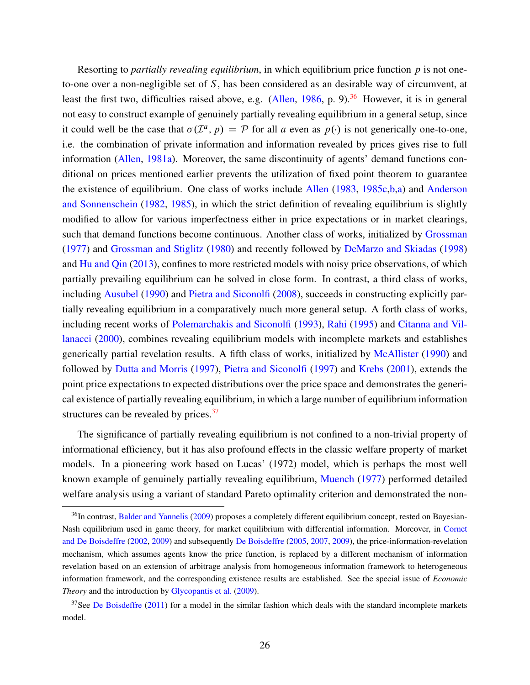<span id="page-25-2"></span>Resorting to *partially revealing equilibrium*, in which equilibrium price function p is not oneto-one over a non-negligible set of  $S$ , has been considered as an desirable way of circumvent, at least the first two, difficulties raised above, e.g. [\(Allen,](#page-26-6) [1986,](#page-26-6) p. 9).<sup>[36](#page-25-0)</sup> However, it is in general not easy to construct example of genuinely partially revealing equilibrium in a general setup, since it could well be the case that  $\sigma(\mathcal{I}^a, p) = \mathcal{P}$  for all a even as  $p(\cdot)$  is not generically one-to-one, i.e. the combination of private information and information revealed by prices gives rise to full information [\(Allen,](#page-26-10) [1981a\)](#page-26-10). Moreover, the same discontinuity of agents' demand functions conditional on prices mentioned earlier prevents the utilization of fixed point theorem to guarantee the existence of equilibrium. One class of works include [Allen](#page-26-11) ([1983](#page-26-11), [1985c](#page-26-12)[,b](#page-26-13)[,a\)](#page-26-14) and [Anderson](#page-26-15) [and Sonnenschein](#page-26-15) ([1982,](#page-26-15) [1985](#page-26-16)), in which the strict definition of revealing equilibrium is slightly modified to allow for various imperfectness either in price expectations or in market clearings, such that demand functions become continuous. Another class of works, initialized by [Grossman](#page-28-14) ([1977\)](#page-28-14) and [Grossman and Stiglitz](#page-28-19) ([1980\)](#page-28-19) and recently followed by [DeMarzo and Skiadas](#page-27-16) [\(1998](#page-27-16)) and [Hu and Qin](#page-29-21) ([2013\)](#page-29-21), confines to more restricted models with noisy price observations, of which partially prevailing equilibrium can be solved in close form. In contrast, a third class of works, including [Ausubel](#page-27-17) ([1990\)](#page-27-17) and [Pietra and Siconolfi](#page-30-19) [\(2008](#page-30-19)), succeeds in constructing explicitly partially revealing equilibrium in a comparatively much more general setup. A forth class of works, including recent works of [Polemarchakis and Siconolfi](#page-30-20) [\(1993\)](#page-30-20), [Rahi](#page-31-12) [\(1995](#page-31-12)) and [Citanna and Vil](#page-27-18)[lanacci](#page-27-18) ([2000\)](#page-27-18), combines revealing equilibrium models with incomplete markets and establishes generically partial revelation results. A fifth class of works, initialized by [McAllister](#page-30-21) [\(1990](#page-30-21)) and followed by [Dutta and Morris](#page-28-21) ([1997](#page-28-21)), [Pietra and Siconolfi](#page-30-22) [\(1997](#page-30-22)) and [Krebs](#page-29-22) ([2001\)](#page-29-22), extends the point price expectations to expected distributions over the price space and demonstrates the generical existence of partially revealing equilibrium, in which a large number of equilibrium information structures can be revealed by prices.<sup>[37](#page-25-1)</sup>

The significance of partially revealing equilibrium is not confined to a non-trivial property of informational efficiency, but it has also profound effects in the classic welfare property of market models. In a pioneering work based on Lucas' (1972) model, which is perhaps the most well known example of genuinely partially revealing equilibrium, [Muench](#page-30-23) [\(1977](#page-30-23)) performed detailed welfare analysis using a variant of standard Pareto optimality criterion and demonstrated the non-

<span id="page-25-0"></span><sup>&</sup>lt;sup>36</sup>In contrast, [Balder and Yannelis](#page-27-19) [\(2009](#page-27-19)) proposes a completely different equilibrium concept, rested on Bayesian-Nash equilibrium used in game theory, for market equilibrium with differential information. Moreover, in [Cornet](#page-27-20) [and De Boisdeffre](#page-27-20) ([2002,](#page-27-20) [2009](#page-27-21)) and subsequently [De Boisdeffre](#page-27-22) [\(2005](#page-27-22), [2007](#page-27-23), [2009](#page-27-24)), the price-information-revelation mechanism, which assumes agents know the price function, is replaced by a different mechanism of information revelation based on an extension of arbitrage analysis from homogeneous information framework to heterogeneous information framework, and the corresponding existence results are established. See the special issue of *Economic Theory* and the introduction by [Glycopantis et al.](#page-28-22) ([2009\)](#page-28-22).

<span id="page-25-1"></span> $37$ See [De Boisdeffre](#page-27-25) ([2011](#page-27-25)) for a model in the similar fashion which deals with the standard incomplete markets model.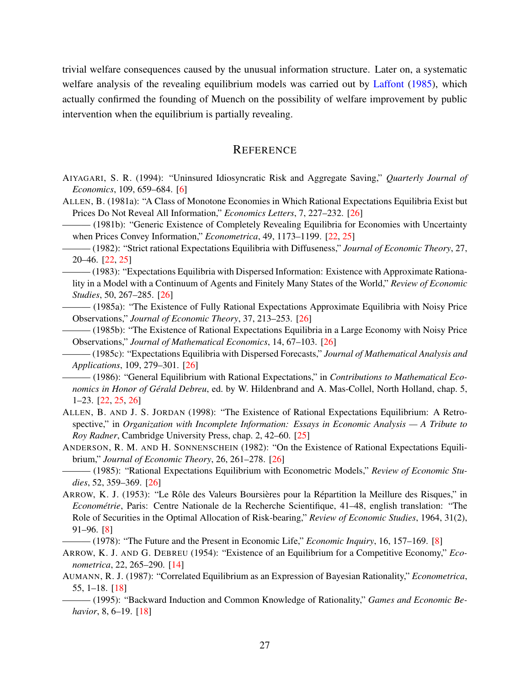<span id="page-26-17"></span>trivial welfare consequences caused by the unusual information structure. Later on, a systematic welfare analysis of the revealing equilibrium models was carried out by [Laffont](#page-29-23) [\(1985](#page-29-23)), which actually confirmed the founding of Muench on the possibility of welfare improvement by public intervention when the equilibrium is partially revealing.

## **REFERENCE**

- <span id="page-26-0"></span>AIYAGARI, S. R. (1994): "Uninsured Idiosyncratic Risk and Aggregate Saving," *Quarterly Journal of Economics*, 109, 659–684. [\[6\]](#page-5-0)
- <span id="page-26-10"></span>ALLEN, B. (1981a): "A Class of Monotone Economies in Which Rational Expectations Equilibria Exist but Prices Do Not Reveal All Information," *Economics Letters*, 7, 227–232. [[26\]](#page-25-2)

<span id="page-26-7"></span>——— (1981b): "Generic Existence of Completely Revealing Equilibria for Economies with Uncertainty when Prices Convey Information," *Econometrica*, 49, 1173–1199. [\[22](#page-21-1), [25\]](#page-24-1)

- <span id="page-26-8"></span>——— (1982): "Strict rational Expectations Equilibria with Diffuseness," *Journal of Economic Theory*, 27, 20–46. [\[22](#page-21-1), [25\]](#page-24-1)
- <span id="page-26-11"></span>——— (1983): "Expectations Equilibria with Dispersed Information: Existence with Approximate Rationality in a Model with a Continuum of Agents and Finitely Many States of the World," *Review of Economic Studies*, 50, 267–285. [[26](#page-25-2)]
- <span id="page-26-14"></span>——— (1985a): "The Existence of Fully Rational Expectations Approximate Equilibria with Noisy Price Observations," *Journal of Economic Theory*, 37, 213–253. [[26\]](#page-25-2)
- <span id="page-26-13"></span>——— (1985b): "The Existence of Rational Expectations Equilibria in a Large Economy with Noisy Price Observations," *Journal of Mathematical Economics*, 14, 67–103. [\[26](#page-25-2)]

<span id="page-26-12"></span>——— (1985c): "Expectations Equilibria with Dispersed Forecasts," *Journal of Mathematical Analysis and Applications*, 109, 279–301. [[26\]](#page-25-2)

<span id="page-26-6"></span> $-$  (1986): "General Equilibrium with Rational Expectations," in *Contributions to Mathematical Economics in Honor of Gérald Debreu*, ed. by W. Hildenbrand and A. Mas-Collel, North Holland, chap. 5, 1–23. [[22,](#page-21-1) [25](#page-24-1), [26](#page-25-2)]

- <span id="page-26-9"></span>ALLEN, B. AND J. S. JORDAN (1998): "The Existence of Rational Expectations Equilibrium: A Retrospective," in *Organization with Incomplete Information: Essays in Economic Analysis — A Tribute to Roy Radner*, Cambridge University Press, chap. 2, 42–60. [[25](#page-24-1)]
- <span id="page-26-15"></span>ANDERSON, R. M. AND H. SONNENSCHEIN (1982): "On the Existence of Rational Expectations Equilibrium," *Journal of Economic Theory*, 26, 261–278. [\[26](#page-25-2)]

<span id="page-26-16"></span> $-$  (1985): "Rational Expectations Equilibrium with Econometric Models," Review of Economic Stu*dies*, 52, 359–369. [[26](#page-25-2)]

<span id="page-26-1"></span>ARROW, K. J. (1953): "Le Rôle des Valeurs Boursières pour la Répartition la Meillure des Risques," in *Econométrie*, Paris: Centre Nationale de la Recherche Scientifique, 41–48, english translation: "The Role of Securities in the Optimal Allocation of Risk-bearing," *Review of Economic Studies*, 1964, 31(2), 91–96. [\[8\]](#page-7-2)

<span id="page-26-2"></span>——— (1978): "The Future and the Present in Economic Life," *Economic Inquiry*, 16, 157–169. [[8\]](#page-7-2)

- <span id="page-26-3"></span>ARROW, K. J. AND G. DEBREU (1954): "Existence of an Equilibrium for a Competitive Economy," *Econometrica*, 22, 265–290. [\[14](#page-13-3)]
- <span id="page-26-4"></span>AUMANN, R. J. (1987): "Correlated Equilibrium as an Expression of Bayesian Rationality," *Econometrica*, 55, 1–18. [\[18](#page-17-2)]
- <span id="page-26-5"></span>——— (1995): "Backward Induction and Common Knowledge of Rationality," *Games and Economic Behavior*, 8, 6–19. [[18\]](#page-17-2)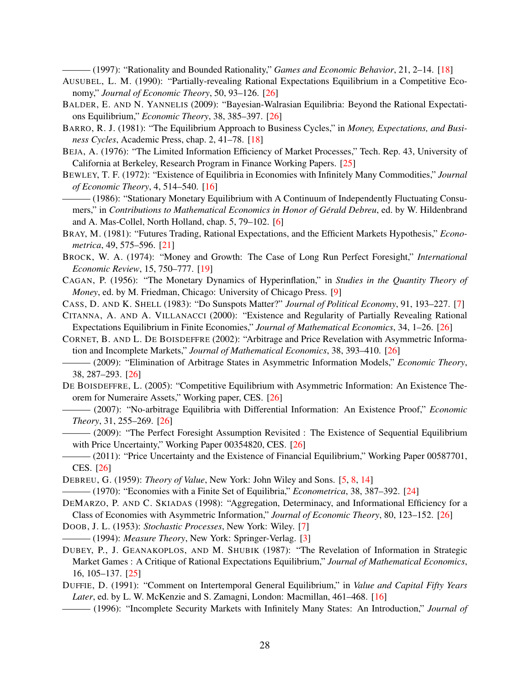——— (1997): "Rationality and Bounded Rationality," *Games and Economic Behavior*, 21, 2–14. [\[18](#page-17-2)]

- <span id="page-27-17"></span><span id="page-27-9"></span>AUSUBEL, L. M. (1990): "Partially-revealing Rational Expectations Equilibrium in a Competitive Economy," *Journal of Economic Theory*, 50, 93–126. [\[26\]](#page-25-2)
- <span id="page-27-19"></span>BALDER, E. AND N. YANNELIS (2009): "Bayesian-Walrasian Equilibria: Beyond the Rational Expectations Equilibrium," *Economic Theory*, 38, 385–397. [\[26](#page-25-2)]
- <span id="page-27-10"></span>BARRO, R. J. (1981): "The Equilibrium Approach to Business Cycles," in *Money, Expectations, and Business Cycles*, Academic Press, chap. 2, 41–78. [[18\]](#page-17-2)
- <span id="page-27-14"></span>BEJA, A. (1976): "The Limited Information Efficiency of Market Processes," Tech. Rep. 43, University of California at Berkeley, Research Program in Finance Working Papers. [\[25](#page-24-1)]
- <span id="page-27-7"></span>BEWLEY, T. F. (1972): "Existence of Equilibria in Economies with Infinitely Many Commodities," *Journal of Economic Theory*, 4, 514–540. [\[16\]](#page-15-3)

<span id="page-27-2"></span>- (1986): "Stationary Monetary Equilibrium with A Continuum of Independently Fluctuating Consumers," in *Contributions to Mathematical Economics in Honor of Gérald Debreu*, ed. by W. Hildenbrand and A. Mas-Collel, North Holland, chap. 5, 79–102. [[6](#page-5-0)]

- <span id="page-27-12"></span>BRAY, M. (1981): "Futures Trading, Rational Expectations, and the Efficient Markets Hypothesis," *Econometrica*, 49, 575–596. [\[21](#page-20-2)]
- <span id="page-27-11"></span>BROCK, W. A. (1974): "Money and Growth: The Case of Long Run Perfect Foresight," *International Economic Review*, 15, 750–777. [[19](#page-18-1)]
- <span id="page-27-5"></span>CAGAN, P. (1956): "The Monetary Dynamics of Hyperinflation," in *Studies in the Quantity Theory of Money*, ed. by M. Friedman, Chicago: University of Chicago Press. [[9](#page-8-1)]

<span id="page-27-3"></span>CASS, D. AND K. SHELL (1983): "Do Sunspots Matter?" *Journal of Political Economy*, 91, 193–227. [[7](#page-6-2)]

- <span id="page-27-18"></span>CITANNA, A. AND A. VILLANACCI (2000): "Existence and Regularity of Partially Revealing Rational Expectations Equilibrium in Finite Economies," *Journal of Mathematical Economics*, 34, 1–26. [\[26](#page-25-2)]
- <span id="page-27-20"></span>CORNET, B. AND L. DE BOISDEFFRE (2002): "Arbitrage and Price Revelation with Asymmetric Information and Incomplete Markets," *Journal of Mathematical Economics*, 38, 393–410. [[26\]](#page-25-2)
- <span id="page-27-21"></span>——— (2009): "Elimination of Arbitrage States in Asymmetric Information Models," *Economic Theory*, 38, 287–293. [[26](#page-25-2)]
- <span id="page-27-22"></span>DE BOISDEFFRE, L. (2005): "Competitive Equilibrium with Asymmetric Information: An Existence Theorem for Numeraire Assets," Working paper, CES. [[26\]](#page-25-2)
- <span id="page-27-23"></span>——— (2007): "No-arbitrage Equilibria with Differential Information: An Existence Proof," *Economic Theory*, 31, 255–269. [[26\]](#page-25-2)
- <span id="page-27-24"></span>——— (2009): "The Perfect Foresight Assumption Revisited : The Existence of Sequential Equilibrium with Price Uncertainty," Working Paper 00354820, CES. [[26\]](#page-25-2)
- <span id="page-27-25"></span>——— (2011): "Price Uncertainty and the Existence of Financial Equilibrium," Working Paper 00587701, CES. [[26\]](#page-25-2)
- <span id="page-27-13"></span><span id="page-27-1"></span>DEBREU, G. (1959): *Theory of Value*, New York: John Wiley and Sons. [[5](#page-4-2), [8](#page-7-2), [14\]](#page-13-3)
- ——— (1970): "Economies with a Finite Set of Equilibria," *Econometrica*, 38, 387–392. [[24\]](#page-23-1)

<span id="page-27-16"></span>DEMARZO, P. AND C. SKIADAS (1998): "Aggregation, Determinacy, and Informational Efficiency for a Class of Economies with Asymmetric Information," *Journal of Economic Theory*, 80, 123–152. [[26\]](#page-25-2)

- <span id="page-27-4"></span><span id="page-27-0"></span>DOOB, J. L. (1953): *Stochastic Processes*, New York: Wiley. [\[7\]](#page-6-2)
- (1994): *Measure Theory*, New York: Springer-Verlag. [\[3](#page-2-1)]
- <span id="page-27-15"></span>DUBEY, P., J. GEANAKOPLOS, AND M. SHUBIK (1987): "The Revelation of Information in Strategic Market Games : A Critique of Rational Expectations Equilibrium," *Journal of Mathematical Economics*, 16, 105–137. [[25](#page-24-1)]
- <span id="page-27-6"></span>DUFFIE, D. (1991): "Comment on Intertemporal General Equilibrium," in *Value and Capital Fifty Years Later*, ed. by L. W. McKenzie and S. Zamagni, London: Macmillan, 461–468. [[16\]](#page-15-3)
- <span id="page-27-8"></span>——— (1996): "Incomplete Security Markets with Infinitely Many States: An Introduction," *Journal of*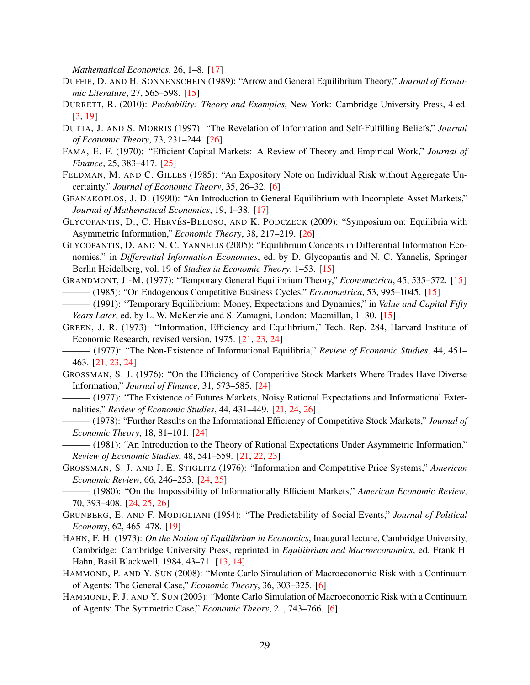*Mathematical Economics*, 26, 1–8. [\[17](#page-16-2)]

- <span id="page-28-9"></span>DUFFIE, D. AND H. SONNENSCHEIN (1989): "Arrow and General Equilibrium Theory," *Journal of Economic Literature*, 27, 565–598. [\[15](#page-14-1)]
- <span id="page-28-0"></span>DURRETT, R. (2010): *Probability: Theory and Examples*, New York: Cambridge University Press, 4 ed. [\[3,](#page-2-1) [19](#page-18-1)]
- <span id="page-28-21"></span>DUTTA, J. AND S. MORRIS (1997): "The Revelation of Information and Self-Fulfilling Beliefs," *Journal of Economic Theory*, 73, 231–244. [\[26](#page-25-2)]
- <span id="page-28-20"></span>FAMA, E. F. (1970): "Efficient Capital Markets: A Review of Theory and Empirical Work," *Journal of Finance*, 25, 383–417. [\[25](#page-24-1)]
- <span id="page-28-1"></span>FELDMAN, M. AND C. GILLES (1985): "An Expository Note on Individual Risk without Aggregate Uncertainty," *Journal of Economic Theory*, 35, 26–32. [[6](#page-5-0)]
- <span id="page-28-10"></span>GEANAKOPLOS, J. D. (1990): "An Introduction to General Equilibrium with Incomplete Asset Markets," *Journal of Mathematical Economics*, 19, 1–38. [\[17](#page-16-2)]
- <span id="page-28-22"></span>GLYCOPANTIS, D., C. HERVÉS-BELOSO, AND K. PODCZECK (2009): "Symposium on: Equilibria with Asymmetric Information," *Economic Theory*, 38, 217–219. [[26](#page-25-2)]
- <span id="page-28-8"></span>GLYCOPANTIS, D. AND N. C. YANNELIS (2005): "Equilibrium Concepts in Differential Information Economies," in *Differential Information Economies*, ed. by D. Glycopantis and N. C. Yannelis, Springer Berlin Heidelberg, vol. 19 of *Studies in Economic Theory*, 1–53. [\[15](#page-14-1)]
- <span id="page-28-6"></span><span id="page-28-5"></span>GRANDMONT, J.-M. (1977): "Temporary General Equilibrium Theory," *Econometrica*, 45, 535–572. [\[15](#page-14-1)] ——— (1985): "On Endogenous Competitive Business Cycles," *Econometrica*, 53, 995–1045. [\[15](#page-14-1)]
- <span id="page-28-7"></span>——— (1991): "Temporary Equilibrium: Money, Expectations and Dynamics," in *Value and Capital Fifty Years Later*, ed. by L. W. McKenzie and S. Zamagni, London: Macmillan, 1–30. [[15\]](#page-14-1)
- <span id="page-28-12"></span>GREEN, J. R. (1973): "Information, Efficiency and Equilibrium," Tech. Rep. 284, Harvard Institute of Economic Research, revised version, 1975. [[21](#page-20-2), [23,](#page-22-1) [24](#page-23-1)]
- <span id="page-28-13"></span>——— (1977): "The Non-Existence of Informational Equilibria," *Review of Economic Studies*, 44, 451– 463. [\[21](#page-20-2), [23,](#page-22-1) [24\]](#page-23-1)
- <span id="page-28-16"></span>GROSSMAN, S. J. (1976): "On the Efficiency of Competitive Stock Markets Where Trades Have Diverse Information," *Journal of Finance*, 31, 573–585. [[24](#page-23-1)]
- <span id="page-28-14"></span>——— (1977): "The Existence of Futures Markets, Noisy Rational Expectations and Informational Externalities," *Review of Economic Studies*, 44, 431–449. [\[21,](#page-20-2) [24](#page-23-1), [26\]](#page-25-2)
- <span id="page-28-17"></span>——— (1978): "Further Results on the Informational Efficiency of Competitive Stock Markets," *Journal of Economic Theory*, 18, 81–101. [[24\]](#page-23-1)
- <span id="page-28-15"></span>——— (1981): "An Introduction to the Theory of Rational Expectations Under Asymmetric Information," *Review of Economic Studies*, 48, 541–559. [[21,](#page-20-2) [22](#page-21-1), [23\]](#page-22-1)
- <span id="page-28-18"></span>GROSSMAN, S. J. AND J. E. STIGLITZ (1976): "Information and Competitive Price Systems," *American Economic Review*, 66, 246–253. [[24](#page-23-1), [25\]](#page-24-1)
- <span id="page-28-19"></span>——— (1980): "On the Impossibility of Informationally Efficient Markets," *American Economic Review*, 70, 393–408. [[24](#page-23-1), [25,](#page-24-1) [26](#page-25-2)]
- <span id="page-28-11"></span>GRUNBERG, E. AND F. MODIGLIANI (1954): "The Predictability of Social Events," *Journal of Political Economy*, 62, 465–478. [[19](#page-18-1)]
- <span id="page-28-4"></span>HAHN, F. H. (1973): *On the Notion of Equilibrium in Economics*, Inaugural lecture, Cambridge University, Cambridge: Cambridge University Press, reprinted in *Equilibrium and Macroeconomics*, ed. Frank H. Hahn, Basil Blackwell, 1984, 43–71. [\[13](#page-12-0), [14\]](#page-13-3)
- <span id="page-28-3"></span>HAMMOND, P. AND Y. SUN (2008): "Monte Carlo Simulation of Macroeconomic Risk with a Continuum of Agents: The General Case," *Economic Theory*, 36, 303–325. [\[6\]](#page-5-0)
- <span id="page-28-2"></span>HAMMOND, P. J. AND Y. SUN (2003): "Monte Carlo Simulation of Macroeconomic Risk with a Continuum of Agents: The Symmetric Case," *Economic Theory*, 21, 743–766. [\[6\]](#page-5-0)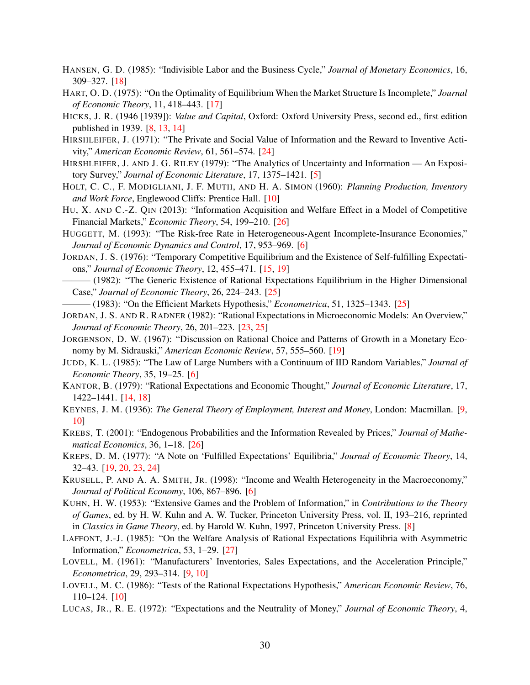- <span id="page-29-14"></span>HANSEN, G. D. (1985): "Indivisible Labor and the Business Cycle," *Journal of Monetary Economics*, 16, 309–327. [\[18](#page-17-2)]
- <span id="page-29-13"></span>HART, O. D. (1975): "On the Optimality of Equilibrium When the Market Structure Is Incomplete," *Journal of Economic Theory*, 11, 418–443. [\[17](#page-16-2)]
- <span id="page-29-5"></span>HICKS, J. R. (1946 [1939]): *Value and Capital*, Oxford: Oxford University Press, second ed., first edition published in 1939. [\[8,](#page-7-2) [13,](#page-12-0) [14](#page-13-3)]
- <span id="page-29-18"></span>HIRSHLEIFER, J. (1971): "The Private and Social Value of Information and the Reward to Inventive Activity," *American Economic Review*, 61, 561–574. [\[24](#page-23-1)]
- <span id="page-29-1"></span>HIRSHLEIFER, J. AND J. G. RILEY (1979): "The Analytics of Uncertainty and Information — An Expository Survey," *Journal of Economic Literature*, 17, 1375–1421. [\[5\]](#page-4-2)
- <span id="page-29-10"></span>HOLT, C. C., F. MODIGLIANI, J. F. MUTH, AND H. A. SIMON (1960): *Planning Production, Inventory and Work Force*, Englewood Cliffs: Prentice Hall. [[10\]](#page-9-3)
- <span id="page-29-21"></span>HU, X. AND C.-Z. QIN (2013): "Information Acquisition and Welfare Effect in a Model of Competitive Financial Markets," *Economic Theory*, 54, 199–210. [[26\]](#page-25-2)
- <span id="page-29-2"></span>HUGGETT, M. (1993): "The Risk-free Rate in Heterogeneous-Agent Incomplete-Insurance Economies," *Journal of Economic Dynamics and Control*, 17, 953–969. [[6](#page-5-0)]
- <span id="page-29-12"></span>JORDAN, J. S. (1976): "Temporary Competitive Equilibrium and the Existence of Self-fulfilling Expectations," *Journal of Economic Theory*, 12, 455–471. [[15](#page-14-1), [19\]](#page-18-1)
- <span id="page-29-20"></span>——— (1982): "The Generic Existence of Rational Expectations Equilibrium in the Higher Dimensional Case," *Journal of Economic Theory*, 26, 224–243. [[25\]](#page-24-1)
- <span id="page-29-19"></span> $-$  (1983): "On the Efficient Markets Hypothesis," *Econometrica*, 51, 1325–1343. [\[25](#page-24-1)]
- <span id="page-29-17"></span>JORDAN, J. S. AND R. RADNER (1982): "Rational Expectations in Microeconomic Models: An Overview," *Journal of Economic Theory*, 26, 201–223. [[23,](#page-22-1) [25](#page-24-1)]
- <span id="page-29-16"></span>JORGENSON, D. W. (1967): "Discussion on Rational Choice and Patterns of Growth in a Monetary Economy by M. Sidrauski," *American Economic Review*, 57, 555–560. [[19\]](#page-18-1)
- <span id="page-29-4"></span>JUDD, K. L. (1985): "The Law of Large Numbers with a Continuum of IID Random Variables," *Journal of Economic Theory*, 35, 19–25. [\[6\]](#page-5-0)
- <span id="page-29-11"></span>KANTOR, B. (1979): "Rational Expectations and Economic Thought," *Journal of Economic Literature*, 17, 1422–1441. [\[14,](#page-13-3) [18](#page-17-2)]
- <span id="page-29-7"></span>KEYNES, J. M. (1936): *The General Theory of Employment, Interest and Money*, London: Macmillan. [[9](#page-8-1), [10\]](#page-9-3)
- <span id="page-29-22"></span>KREBS, T. (2001): "Endogenous Probabilities and the Information Revealed by Prices," *Journal of Mathematical Economics*, 36, 1–18. [[26\]](#page-25-2)
- <span id="page-29-15"></span>KREPS, D. M. (1977): "A Note on 'Fulfilled Expectations' Equilibria," *Journal of Economic Theory*, 14, 32–43. [\[19](#page-18-1), [20,](#page-19-3) [23,](#page-22-1) [24](#page-23-1)]
- <span id="page-29-3"></span>KRUSELL, P. AND A. A. SMITH, JR. (1998): "Income and Wealth Heterogeneity in the Macroeconomy," *Journal of Political Economy*, 106, 867–896. [\[6\]](#page-5-0)
- <span id="page-29-6"></span>KUHN, H. W. (1953): "Extensive Games and the Problem of Information," in *Contributions to the Theory of Games*, ed. by H. W. Kuhn and A. W. Tucker, Princeton University Press, vol. II, 193–216, reprinted in *Classics in Game Theory*, ed. by Harold W. Kuhn, 1997, Princeton University Press. [[8\]](#page-7-2)
- <span id="page-29-23"></span>LAFFONT, J.-J. (1985): "On the Welfare Analysis of Rational Expectations Equilibria with Asymmetric Information," *Econometrica*, 53, 1–29. [\[27](#page-26-17)]
- <span id="page-29-8"></span>LOVELL, M. (1961): "Manufacturers' Inventories, Sales Expectations, and the Acceleration Principle," *Econometrica*, 29, 293–314. [\[9,](#page-8-1) [10](#page-9-3)]
- <span id="page-29-9"></span>LOVELL, M. C. (1986): "Tests of the Rational Expectations Hypothesis," *American Economic Review*, 76, 110–124. [\[10](#page-9-3)]
- <span id="page-29-0"></span>LUCAS, JR., R. E. (1972): "Expectations and the Neutrality of Money," *Journal of Economic Theory*, 4,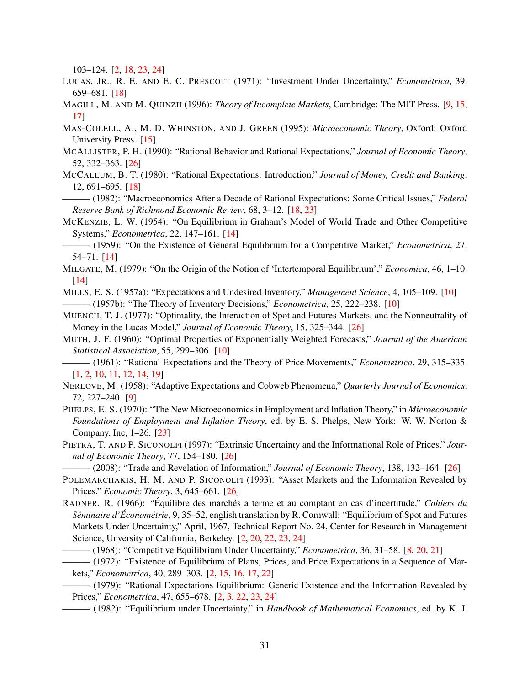103–124. [\[2,](#page-1-0) [18,](#page-17-2) [23](#page-22-1), [24\]](#page-23-1)

- <span id="page-30-15"></span>LUCAS, JR., R. E. AND E. C. PRESCOTT (1971): "Investment Under Uncertainty," *Econometrica*, 39, 659–681. [\[18](#page-17-2)]
- <span id="page-30-7"></span>MAGILL, M. AND M. QUINZII (1996): *Theory of Incomplete Markets*, Cambridge: The MIT Press. [[9,](#page-8-1) [15](#page-14-1), [17\]](#page-16-2)
- <span id="page-30-14"></span>MAS-COLELL, A., M. D. WHINSTON, AND J. GREEN (1995): *Microeconomic Theory*, Oxford: Oxford University Press. [\[15](#page-14-1)]
- <span id="page-30-21"></span>MCALLISTER, P. H. (1990): "Rational Behavior and Rational Expectations," *Journal of Economic Theory*, 52, 332–363. [[26](#page-25-2)]
- <span id="page-30-16"></span>MCCALLUM, B. T. (1980): "Rational Expectations: Introduction," *Journal of Money, Credit and Banking*, 12, 691–695. [[18](#page-17-2)]

<span id="page-30-17"></span>——— (1982): "Macroeconomics After a Decade of Rational Expectations: Some Critical Issues," *Federal Reserve Bank of Richmond Economic Review*, 68, 3–12. [[18](#page-17-2), [23\]](#page-22-1)

<span id="page-30-11"></span>MCKENZIE, L. W. (1954): "On Equilibrium in Graham's Model of World Trade and Other Competitive Systems," *Econometrica*, 22, 147–161. [\[14](#page-13-3)]

<span id="page-30-12"></span>——— (1959): "On the Existence of General Equilibrium for a Competitive Market," *Econometrica*, 27, 54–71. [\[14](#page-13-3)]

- <span id="page-30-13"></span>MILGATE, M. (1979): "On the Origin of the Notion of 'Intertemporal Equilibrium'," *Economica*, 46, 1–10. [\[14](#page-13-3)]
- <span id="page-30-9"></span><span id="page-30-8"></span>MILLS, E. S. (1957a): "Expectations and Undesired Inventory," *Management Science*, 4, 105–109. [\[10](#page-9-3)] ——— (1957b): "The Theory of Inventory Decisions," *Econometrica*, 25, 222–238. [\[10](#page-9-3)]
- <span id="page-30-23"></span>MUENCH, T. J. (1977): "Optimality, the Interaction of Spot and Futures Markets, and the Nonneutrality of Money in the Lucas Model," *Journal of Economic Theory*, 15, 325–344. [\[26](#page-25-2)]
- <span id="page-30-10"></span>MUTH, J. F. (1960): "Optimal Properties of Exponentially Weighted Forecasts," *Journal of the American Statistical Association*, 55, 299–306. [\[10](#page-9-3)]
- <span id="page-30-0"></span>——— (1961): "Rational Expectations and the Theory of Price Movements," *Econometrica*, 29, 315–335. [\[1,](#page-0-0) [2,](#page-1-0) [10](#page-9-3), [11](#page-10-2), [12,](#page-11-0) [14](#page-13-3), [19\]](#page-18-1)
- <span id="page-30-6"></span>NERLOVE, M. (1958): "Adaptive Expectations and Cobweb Phenomena," *Quarterly Journal of Economics*, 72, 227–240. [[9\]](#page-8-1)
- <span id="page-30-18"></span>PHELPS, E. S. (1970): "The New Microeconomics in Employment and Inflation Theory," in *Microeconomic Foundations of Employment and Inflation Theory*, ed. by E. S. Phelps, New York: W. W. Norton & Company. Inc, 1–26. [\[23](#page-22-1)]
- <span id="page-30-22"></span>PIETRA, T. AND P. SICONOLFI (1997): "Extrinsic Uncertainty and the Informational Role of Prices," *Journal of Economic Theory*, 77, 154–180. [\[26](#page-25-2)]
- <span id="page-30-19"></span>——— (2008): "Trade and Revelation of Information," *Journal of Economic Theory*, 138, 132–164. [\[26](#page-25-2)]
- <span id="page-30-20"></span>POLEMARCHAKIS, H. M. AND P. SICONOLFI (1993): "Asset Markets and the Information Revealed by Prices," *Economic Theory*, 3, 645–661. [[26\]](#page-25-2)
- <span id="page-30-5"></span><span id="page-30-2"></span>RADNER, R. (1966): "Équilibre des marchés a terme et au comptant en cas d'incertitude," *Cahiers du Seminaire d' ´ Econom ´ etrie ´* , 9, 35–52, english translation by R. Cornwall: "Equilibrium of Spot and Futures Markets Under Uncertainty," April, 1967, Technical Report No. 24, Center for Research in Management Science, Unversity of California, Berkeley. [\[2,](#page-1-0) [20](#page-19-3), [22,](#page-21-1) [23,](#page-22-1) [24](#page-23-1)]
	- ——— (1968): "Competitive Equilibrium Under Uncertainty," *Econometrica*, 36, 31–58. [\[8,](#page-7-2) [20](#page-19-3), [21](#page-20-2)]
	- ——— (1972): "Existence of Equilibrium of Plans, Prices, and Price Expectations in a Sequence of Markets," *Econometrica*, 40, 289–303. [\[2,](#page-1-0) [15](#page-14-1), [16](#page-15-3), [17,](#page-16-2) [22](#page-21-1)]
- <span id="page-30-3"></span><span id="page-30-1"></span>——— (1979): "Rational Expectations Equilibrium: Generic Existence and the Information Revealed by Prices," *Econometrica*, 47, 655–678. [\[2,](#page-1-0) [3,](#page-2-1) [22](#page-21-1), [23](#page-22-1), [24\]](#page-23-1)
- <span id="page-30-4"></span>——— (1982): "Equilibrium under Uncertainty," in *Handbook of Mathematical Economics*, ed. by K. J.